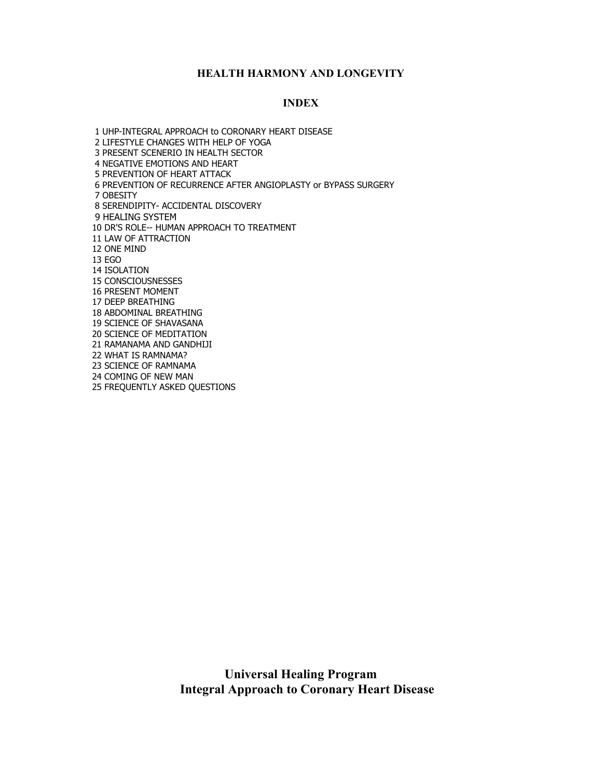#### **HEALTH HARMONY AND LONGEVITY**

#### **INDEX**

 1 UHP-INTEGRAL APPROACH to CORONARY HEART DISEASE 2 LIFESTYLE CHANGES WITH HELP OF YOGA 3 PRESENT SCENERIO IN HEALTH SECTOR 4 NEGATIVE EMOTIONS AND HEART 5 PREVENTION OF HEART ATTACK 6 PREVENTION OF RECURRENCE AFTER ANGIOPLASTY or BYPASS SURGERY 7 OBESITY 8 SERENDIPITY- ACCIDENTAL DISCOVERY 9 HEALING SYSTEM 10 DR'S ROLE-- HUMAN APPROACH TO TREATMENT 11 LAW OF ATTRACTION 12 ONE MIND 13 EGO 14 ISOLATION 15 CONSCIOUSNESSES 16 PRESENT MOMENT 17 DEEP BREATHING 18 ABDOMINAL BREATHING 19 SCIENCE OF SHAVASANA 20 SCIENCE OF MEDITATION 21 RAMANAMA AND GANDHIJI 22 WHAT IS RAMNAMA? 23 SCIENCE OF RAMNAMA 24 COMING OF NEW MAN 25 FREQUENTLY ASKED QUESTIONS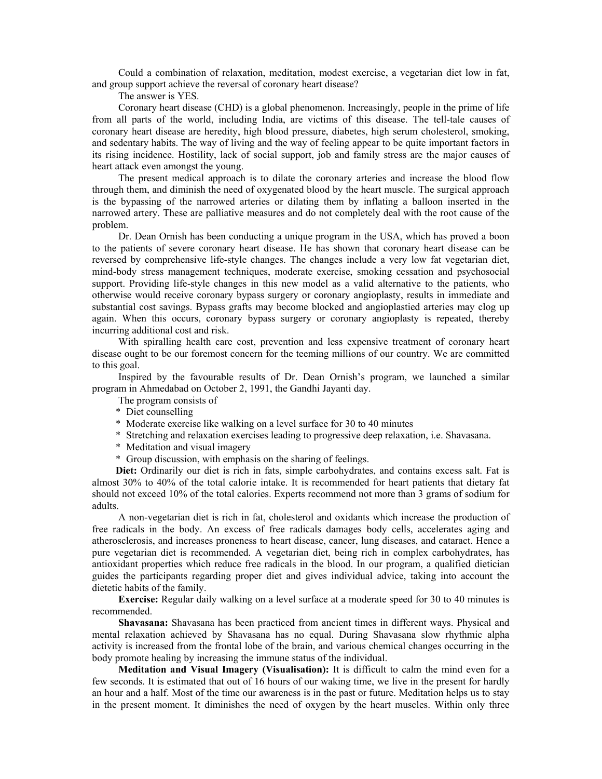Could a combination of relaxation, meditation, modest exercise, a vegetarian diet low in fat, and group support achieve the reversal of coronary heart disease?

The answer is YES.

Coronary heart disease (CHD) is a global phenomenon. Increasingly, people in the prime of life from all parts of the world, including India, are victims of this disease. The tell-tale causes of coronary heart disease are heredity, high blood pressure, diabetes, high serum cholesterol, smoking, and sedentary habits. The way of living and the way of feeling appear to be quite important factors in its rising incidence. Hostility, lack of social support, job and family stress are the major causes of heart attack even amongst the young.

The present medical approach is to dilate the coronary arteries and increase the blood flow through them, and diminish the need of oxygenated blood by the heart muscle. The surgical approach is the bypassing of the narrowed arteries or dilating them by inflating a balloon inserted in the narrowed artery. These are palliative measures and do not completely deal with the root cause of the problem.

Dr. Dean Ornish has been conducting a unique program in the USA, which has proved a boon to the patients of severe coronary heart disease. He has shown that coronary heart disease can be reversed by comprehensive life-style changes. The changes include a very low fat vegetarian diet, mind-body stress management techniques, moderate exercise, smoking cessation and psychosocial support. Providing life-style changes in this new model as a valid alternative to the patients, who otherwise would receive coronary bypass surgery or coronary angioplasty, results in immediate and substantial cost savings. Bypass grafts may become blocked and angioplastied arteries may clog up again. When this occurs, coronary bypass surgery or coronary angioplasty is repeated, thereby incurring additional cost and risk.

With spiralling health care cost, prevention and less expensive treatment of coronary heart disease ought to be our foremost concern for the teeming millions of our country. We are committed to this goal.

Inspired by the favourable results of Dr. Dean Ornish's program, we launched a similar program in Ahmedabad on October 2, 1991, the Gandhi Jayanti day.

The program consists of

- \* Diet counselling
- \* Moderate exercise like walking on a level surface for 30 to 40 minutes
- \* Stretching and relaxation exercises leading to progressive deep relaxation, i.e. Shavasana.
- \* Meditation and visual imagery
- \* Group discussion, with emphasis on the sharing of feelings.

**Diet:** Ordinarily our diet is rich in fats, simple carbohydrates, and contains excess salt. Fat is almost 30% to 40% of the total calorie intake. It is recommended for heart patients that dietary fat should not exceed 10% of the total calories. Experts recommend not more than 3 grams of sodium for adults.

A non-vegetarian diet is rich in fat, cholesterol and oxidants which increase the production of free radicals in the body. An excess of free radicals damages body cells, accelerates aging and atherosclerosis, and increases proneness to heart disease, cancer, lung diseases, and cataract. Hence a pure vegetarian diet is recommended. A vegetarian diet, being rich in complex carbohydrates, has antioxidant properties which reduce free radicals in the blood. In our program, a qualified dietician guides the participants regarding proper diet and gives individual advice, taking into account the dietetic habits of the family.

**Exercise:** Regular daily walking on a level surface at a moderate speed for 30 to 40 minutes is recommended.

**Shavasana:** Shavasana has been practiced from ancient times in different ways. Physical and mental relaxation achieved by Shavasana has no equal. During Shavasana slow rhythmic alpha activity is increased from the frontal lobe of the brain, and various chemical changes occurring in the body promote healing by increasing the immune status of the individual.

**Meditation and Visual Imagery (Visualisation):** It is difficult to calm the mind even for a few seconds. It is estimated that out of 16 hours of our waking time, we live in the present for hardly an hour and a half. Most of the time our awareness is in the past or future. Meditation helps us to stay in the present moment. It diminishes the need of oxygen by the heart muscles. Within only three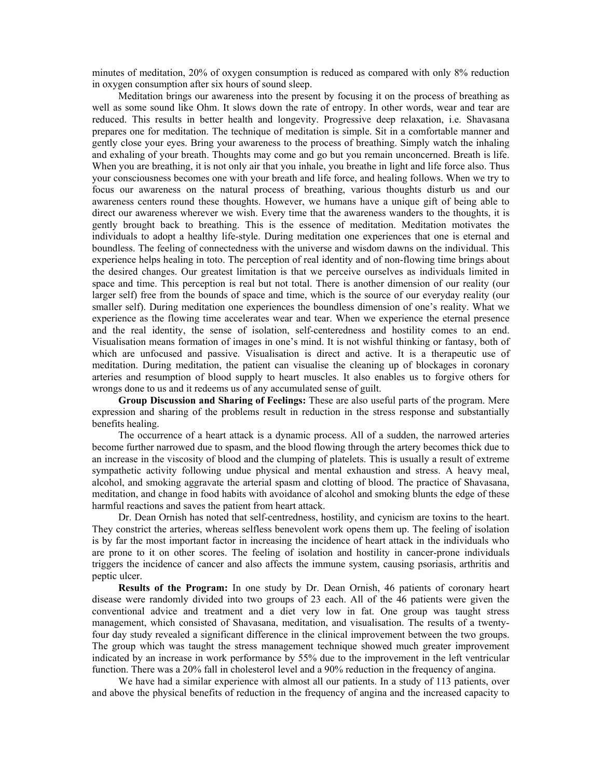minutes of meditation, 20% of oxygen consumption is reduced as compared with only 8% reduction in oxygen consumption after six hours of sound sleep.

Meditation brings our awareness into the present by focusing it on the process of breathing as well as some sound like Ohm. It slows down the rate of entropy. In other words, wear and tear are reduced. This results in better health and longevity. Progressive deep relaxation, i.e. Shavasana prepares one for meditation. The technique of meditation is simple. Sit in a comfortable manner and gently close your eyes. Bring your awareness to the process of breathing. Simply watch the inhaling and exhaling of your breath. Thoughts may come and go but you remain unconcerned. Breath is life. When you are breathing, it is not only air that you inhale, you breathe in light and life force also. Thus your consciousness becomes one with your breath and life force, and healing follows. When we try to focus our awareness on the natural process of breathing, various thoughts disturb us and our awareness centers round these thoughts. However, we humans have a unique gift of being able to direct our awareness wherever we wish. Every time that the awareness wanders to the thoughts, it is gently brought back to breathing. This is the essence of meditation. Meditation motivates the individuals to adopt a healthy life-style. During meditation one experiences that one is eternal and boundless. The feeling of connectedness with the universe and wisdom dawns on the individual. This experience helps healing in toto. The perception of real identity and of non-flowing time brings about the desired changes. Our greatest limitation is that we perceive ourselves as individuals limited in space and time. This perception is real but not total. There is another dimension of our reality (our larger self) free from the bounds of space and time, which is the source of our everyday reality (our smaller self). During meditation one experiences the boundless dimension of one's reality. What we experience as the flowing time accelerates wear and tear. When we experience the eternal presence and the real identity, the sense of isolation, self-centeredness and hostility comes to an end. Visualisation means formation of images in one's mind. It is not wishful thinking or fantasy, both of which are unfocused and passive. Visualisation is direct and active. It is a therapeutic use of meditation. During meditation, the patient can visualise the cleaning up of blockages in coronary arteries and resumption of blood supply to heart muscles. It also enables us to forgive others for wrongs done to us and it redeems us of any accumulated sense of guilt.

**Group Discussion and Sharing of Feelings:** These are also useful parts of the program. Mere expression and sharing of the problems result in reduction in the stress response and substantially benefits healing.

The occurrence of a heart attack is a dynamic process. All of a sudden, the narrowed arteries become further narrowed due to spasm, and the blood flowing through the artery becomes thick due to an increase in the viscosity of blood and the clumping of platelets. This is usually a result of extreme sympathetic activity following undue physical and mental exhaustion and stress. A heavy meal, alcohol, and smoking aggravate the arterial spasm and clotting of blood. The practice of Shavasana, meditation, and change in food habits with avoidance of alcohol and smoking blunts the edge of these harmful reactions and saves the patient from heart attack.

Dr. Dean Ornish has noted that self-centredness, hostility, and cynicism are toxins to the heart. They constrict the arteries, whereas selfless benevolent work opens them up. The feeling of isolation is by far the most important factor in increasing the incidence of heart attack in the individuals who are prone to it on other scores. The feeling of isolation and hostility in cancer-prone individuals triggers the incidence of cancer and also affects the immune system, causing psoriasis, arthritis and peptic ulcer.

**Results of the Program:** In one study by Dr. Dean Ornish, 46 patients of coronary heart disease were randomly divided into two groups of 23 each. All of the 46 patients were given the conventional advice and treatment and a diet very low in fat. One group was taught stress management, which consisted of Shavasana, meditation, and visualisation. The results of a twentyfour day study revealed a significant difference in the clinical improvement between the two groups. The group which was taught the stress management technique showed much greater improvement indicated by an increase in work performance by 55% due to the improvement in the left ventricular function. There was a 20% fall in cholesterol level and a 90% reduction in the frequency of angina.

We have had a similar experience with almost all our patients. In a study of 113 patients, over and above the physical benefits of reduction in the frequency of angina and the increased capacity to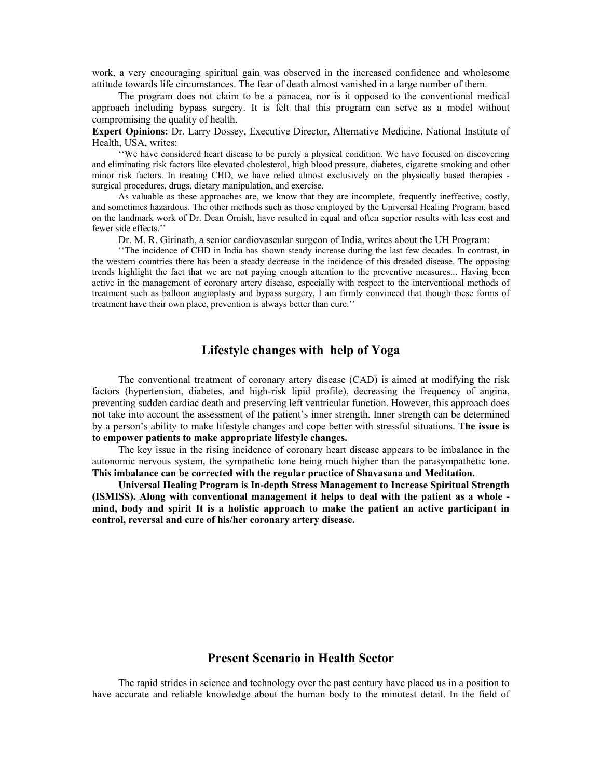work, a very encouraging spiritual gain was observed in the increased confidence and wholesome attitude towards life circumstances. The fear of death almost vanished in a large number of them.

The program does not claim to be a panacea, nor is it opposed to the conventional medical approach including bypass surgery. It is felt that this program can serve as a model without compromising the quality of health.

**Expert Opinions:** Dr. Larry Dossey, Executive Director, Alternative Medicine, National Institute of Health, USA, writes:

''We have considered heart disease to be purely a physical condition. We have focused on discovering and eliminating risk factors like elevated cholesterol, high blood pressure, diabetes, cigarette smoking and other minor risk factors. In treating CHD, we have relied almost exclusively on the physically based therapies surgical procedures, drugs, dietary manipulation, and exercise.

As valuable as these approaches are, we know that they are incomplete, frequently ineffective, costly, and sometimes hazardous. The other methods such as those employed by the Universal Healing Program, based on the landmark work of Dr. Dean Ornish, have resulted in equal and often superior results with less cost and fewer side effects.''

Dr. M. R. Girinath, a senior cardiovascular surgeon of India, writes about the UH Program:

''The incidence of CHD in India has shown steady increase during the last few decades. In contrast, in the western countries there has been a steady decrease in the incidence of this dreaded disease. The opposing trends highlight the fact that we are not paying enough attention to the preventive measures... Having been active in the management of coronary artery disease, especially with respect to the interventional methods of treatment such as balloon angioplasty and bypass surgery, I am firmly convinced that though these forms of treatment have their own place, prevention is always better than cure.''

## **Lifestyle changes with help of Yoga**

The conventional treatment of coronary artery disease (CAD) is aimed at modifying the risk factors (hypertension, diabetes, and high-risk lipid profile), decreasing the frequency of angina, preventing sudden cardiac death and preserving left ventricular function. However, this approach does not take into account the assessment of the patient's inner strength. Inner strength can be determined by a person's ability to make lifestyle changes and cope better with stressful situations. **The issue is to empower patients to make appropriate lifestyle changes.**

The key issue in the rising incidence of coronary heart disease appears to be imbalance in the autonomic nervous system, the sympathetic tone being much higher than the parasympathetic tone. **This imbalance can be corrected with the regular practice of Shavasana and Meditation.**

**Universal Healing Program is In-depth Stress Management to Increase Spiritual Strength (ISMISS). Along with conventional management it helps to deal with the patient as a whole mind, body and spirit It is a holistic approach to make the patient an active participant in control, reversal and cure of his/her coronary artery disease.** 

### **Present Scenario in Health Sector**

The rapid strides in science and technology over the past century have placed us in a position to have accurate and reliable knowledge about the human body to the minutest detail. In the field of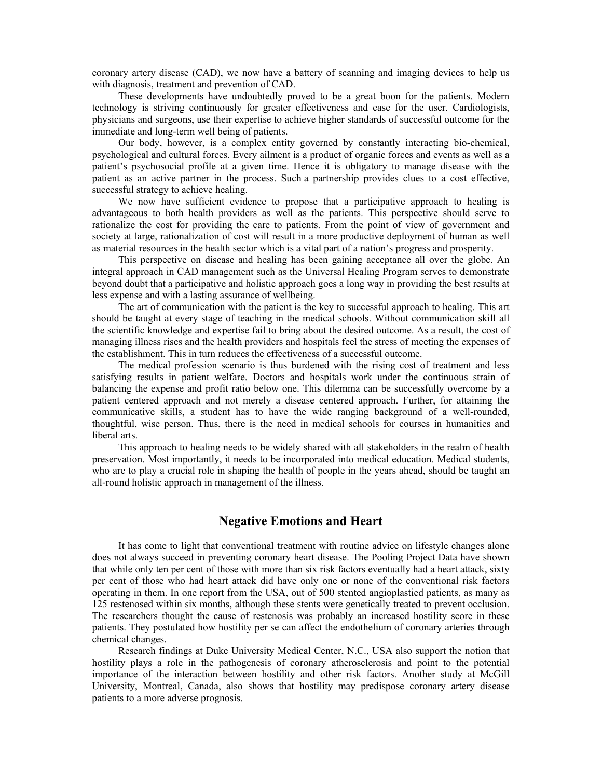coronary artery disease (CAD), we now have a battery of scanning and imaging devices to help us with diagnosis, treatment and prevention of CAD.

These developments have undoubtedly proved to be a great boon for the patients. Modern technology is striving continuously for greater effectiveness and ease for the user. Cardiologists, physicians and surgeons, use their expertise to achieve higher standards of successful outcome for the immediate and long-term well being of patients.

Our body, however, is a complex entity governed by constantly interacting bio-chemical, psychological and cultural forces. Every ailment is a product of organic forces and events as well as a patient's psychosocial profile at a given time. Hence it is obligatory to manage disease with the patient as an active partner in the process. Such a partnership provides clues to a cost effective, successful strategy to achieve healing.

We now have sufficient evidence to propose that a participative approach to healing is advantageous to both health providers as well as the patients. This perspective should serve to rationalize the cost for providing the care to patients. From the point of view of government and society at large, rationalization of cost will result in a more productive deployment of human as well as material resources in the health sector which is a vital part of a nation's progress and prosperity.

This perspective on disease and healing has been gaining acceptance all over the globe. An integral approach in CAD management such as the Universal Healing Program serves to demonstrate beyond doubt that a participative and holistic approach goes a long way in providing the best results at less expense and with a lasting assurance of wellbeing.

The art of communication with the patient is the key to successful approach to healing. This art should be taught at every stage of teaching in the medical schools. Without communication skill all the scientific knowledge and expertise fail to bring about the desired outcome. As a result, the cost of managing illness rises and the health providers and hospitals feel the stress of meeting the expenses of the establishment. This in turn reduces the effectiveness of a successful outcome.

The medical profession scenario is thus burdened with the rising cost of treatment and less satisfying results in patient welfare. Doctors and hospitals work under the continuous strain of balancing the expense and profit ratio below one. This dilemma can be successfully overcome by a patient centered approach and not merely a disease centered approach. Further, for attaining the communicative skills, a student has to have the wide ranging background of a well-rounded, thoughtful, wise person. Thus, there is the need in medical schools for courses in humanities and liberal arts.

This approach to healing needs to be widely shared with all stakeholders in the realm of health preservation. Most importantly, it needs to be incorporated into medical education. Medical students, who are to play a crucial role in shaping the health of people in the years ahead, should be taught an all-round holistic approach in management of the illness.

### **Negative Emotions and Heart**

It has come to light that conventional treatment with routine advice on lifestyle changes alone does not always succeed in preventing coronary heart disease. The Pooling Project Data have shown that while only ten per cent of those with more than six risk factors eventually had a heart attack, sixty per cent of those who had heart attack did have only one or none of the conventional risk factors operating in them. In one report from the USA, out of 500 stented angioplastied patients, as many as 125 restenosed within six months, although these stents were genetically treated to prevent occlusion. The researchers thought the cause of restenosis was probably an increased hostility score in these patients. They postulated how hostility per se can affect the endothelium of coronary arteries through chemical changes.

Research findings at Duke University Medical Center, N.C., USA also support the notion that hostility plays a role in the pathogenesis of coronary atherosclerosis and point to the potential importance of the interaction between hostility and other risk factors. Another study at McGill University, Montreal, Canada, also shows that hostility may predispose coronary artery disease patients to a more adverse prognosis.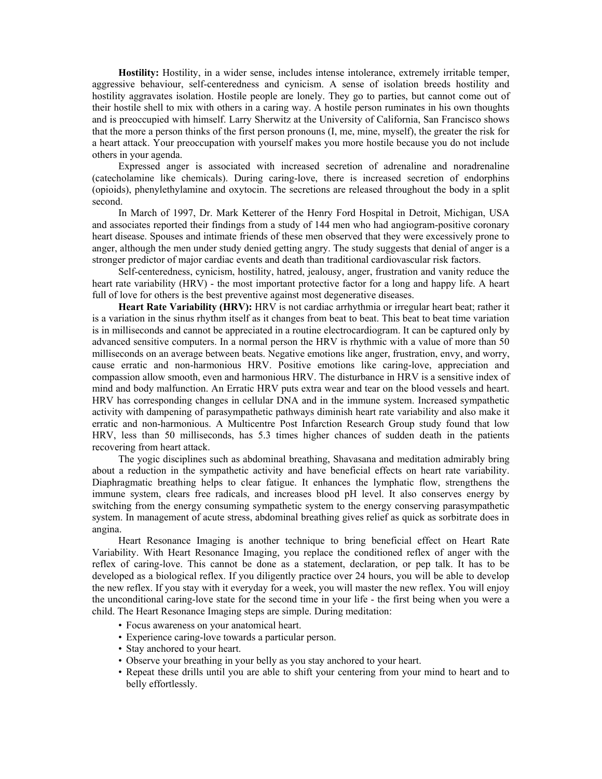**Hostility:** Hostility, in a wider sense, includes intense intolerance, extremely irritable temper, aggressive behaviour, self-centeredness and cynicism. A sense of isolation breeds hostility and hostility aggravates isolation. Hostile people are lonely. They go to parties, but cannot come out of their hostile shell to mix with others in a caring way. A hostile person ruminates in his own thoughts and is preoccupied with himself. Larry Sherwitz at the University of California, San Francisco shows that the more a person thinks of the first person pronouns (I, me, mine, myself), the greater the risk for a heart attack. Your preoccupation with yourself makes you more hostile because you do not include others in your agenda.

Expressed anger is associated with increased secretion of adrenaline and noradrenaline (catecholamine like chemicals). During caring-love, there is increased secretion of endorphins (opioids), phenylethylamine and oxytocin. The secretions are released throughout the body in a split second.

In March of 1997, Dr. Mark Ketterer of the Henry Ford Hospital in Detroit, Michigan, USA and associates reported their findings from a study of 144 men who had angiogram-positive coronary heart disease. Spouses and intimate friends of these men observed that they were excessively prone to anger, although the men under study denied getting angry. The study suggests that denial of anger is a stronger predictor of major cardiac events and death than traditional cardiovascular risk factors.

Self-centeredness, cynicism, hostility, hatred, jealousy, anger, frustration and vanity reduce the heart rate variability (HRV) - the most important protective factor for a long and happy life. A heart full of love for others is the best preventive against most degenerative diseases.

**Heart Rate Variability (HRV):** HRV is not cardiac arrhythmia or irregular heart beat; rather it is a variation in the sinus rhythm itself as it changes from beat to beat. This beat to beat time variation is in milliseconds and cannot be appreciated in a routine electrocardiogram. It can be captured only by advanced sensitive computers. In a normal person the HRV is rhythmic with a value of more than 50 milliseconds on an average between beats. Negative emotions like anger, frustration, envy, and worry, cause erratic and non-harmonious HRV. Positive emotions like caring-love, appreciation and compassion allow smooth, even and harmonious HRV. The disturbance in HRV is a sensitive index of mind and body malfunction. An Erratic HRV puts extra wear and tear on the blood vessels and heart. HRV has corresponding changes in cellular DNA and in the immune system. Increased sympathetic activity with dampening of parasympathetic pathways diminish heart rate variability and also make it erratic and non-harmonious. A Multicentre Post Infarction Research Group study found that low HRV, less than 50 milliseconds, has 5.3 times higher chances of sudden death in the patients recovering from heart attack.

The yogic disciplines such as abdominal breathing, Shavasana and meditation admirably bring about a reduction in the sympathetic activity and have beneficial effects on heart rate variability. Diaphragmatic breathing helps to clear fatigue. It enhances the lymphatic flow, strengthens the immune system, clears free radicals, and increases blood pH level. It also conserves energy by switching from the energy consuming sympathetic system to the energy conserving parasympathetic system. In management of acute stress, abdominal breathing gives relief as quick as sorbitrate does in angina.

Heart Resonance Imaging is another technique to bring beneficial effect on Heart Rate Variability. With Heart Resonance Imaging, you replace the conditioned reflex of anger with the reflex of caring-love. This cannot be done as a statement, declaration, or pep talk. It has to be developed as a biological reflex. If you diligently practice over 24 hours, you will be able to develop the new reflex. If you stay with it everyday for a week, you will master the new reflex. You will enjoy the unconditional caring-love state for the second time in your life - the first being when you were a child. The Heart Resonance Imaging steps are simple. During meditation:

- Focus awareness on your anatomical heart.
- Experience caring-love towards a particular person.
- Stay anchored to your heart.
- Observe your breathing in your belly as you stay anchored to your heart.
- Repeat these drills until you are able to shift your centering from your mind to heart and to belly effortlessly.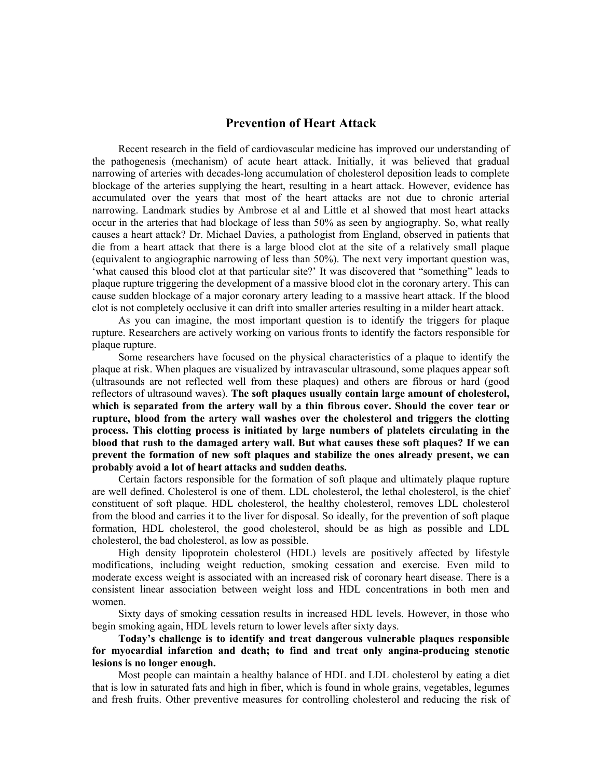### **Prevention of Heart Attack**

Recent research in the field of cardiovascular medicine has improved our understanding of the pathogenesis (mechanism) of acute heart attack. Initially, it was believed that gradual narrowing of arteries with decades-long accumulation of cholesterol deposition leads to complete blockage of the arteries supplying the heart, resulting in a heart attack. However, evidence has accumulated over the years that most of the heart attacks are not due to chronic arterial narrowing. Landmark studies by Ambrose et al and Little et al showed that most heart attacks occur in the arteries that had blockage of less than 50% as seen by angiography. So, what really causes a heart attack? Dr. Michael Davies, a pathologist from England, observed in patients that die from a heart attack that there is a large blood clot at the site of a relatively small plaque (equivalent to angiographic narrowing of less than 50%). The next very important question was, 'what caused this blood clot at that particular site?' It was discovered that "something" leads to plaque rupture triggering the development of a massive blood clot in the coronary artery. This can cause sudden blockage of a major coronary artery leading to a massive heart attack. If the blood clot is not completely occlusive it can drift into smaller arteries resulting in a milder heart attack.

As you can imagine, the most important question is to identify the triggers for plaque rupture. Researchers are actively working on various fronts to identify the factors responsible for plaque rupture.

Some researchers have focused on the physical characteristics of a plaque to identify the plaque at risk. When plaques are visualized by intravascular ultrasound, some plaques appear soft (ultrasounds are not reflected well from these plaques) and others are fibrous or hard (good reflectors of ultrasound waves). **The soft plaques usually contain large amount of cholesterol, which is separated from the artery wall by a thin fibrous cover. Should the cover tear or rupture, blood from the artery wall washes over the cholesterol and triggers the clotting process. This clotting process is initiated by large numbers of platelets circulating in the blood that rush to the damaged artery wall. But what causes these soft plaques? If we can prevent the formation of new soft plaques and stabilize the ones already present, we can probably avoid a lot of heart attacks and sudden deaths.**

Certain factors responsible for the formation of soft plaque and ultimately plaque rupture are well defined. Cholesterol is one of them. LDL cholesterol, the lethal cholesterol, is the chief constituent of soft plaque. HDL cholesterol, the healthy cholesterol, removes LDL cholesterol from the blood and carries it to the liver for disposal. So ideally, for the prevention of soft plaque formation, HDL cholesterol, the good cholesterol, should be as high as possible and LDL cholesterol, the bad cholesterol, as low as possible.

High density lipoprotein cholesterol (HDL) levels are positively affected by lifestyle modifications, including weight reduction, smoking cessation and exercise. Even mild to moderate excess weight is associated with an increased risk of coronary heart disease. There is a consistent linear association between weight loss and HDL concentrations in both men and women.

Sixty days of smoking cessation results in increased HDL levels. However, in those who begin smoking again, HDL levels return to lower levels after sixty days.

**Today's challenge is to identify and treat dangerous vulnerable plaques responsible for myocardial infarction and death; to find and treat only angina-producing stenotic lesions is no longer enough.** 

Most people can maintain a healthy balance of HDL and LDL cholesterol by eating a diet that is low in saturated fats and high in fiber, which is found in whole grains, vegetables, legumes and fresh fruits. Other preventive measures for controlling cholesterol and reducing the risk of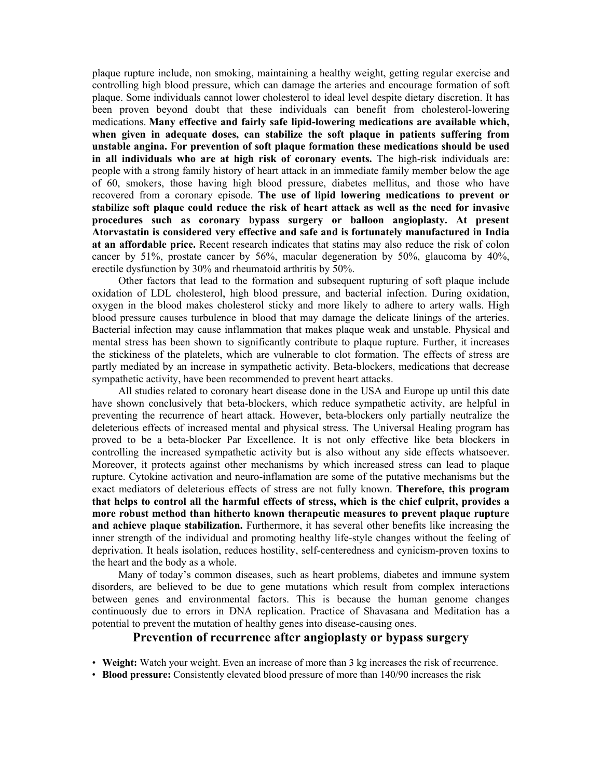plaque rupture include, non smoking, maintaining a healthy weight, getting regular exercise and controlling high blood pressure, which can damage the arteries and encourage formation of soft plaque. Some individuals cannot lower cholesterol to ideal level despite dietary discretion. It has been proven beyond doubt that these individuals can benefit from cholesterol-lowering medications. **Many effective and fairly safe lipid-lowering medications are available which, when given in adequate doses, can stabilize the soft plaque in patients suffering from unstable angina. For prevention of soft plaque formation these medications should be used in all individuals who are at high risk of coronary events.** The high-risk individuals are: people with a strong family history of heart attack in an immediate family member below the age of 60, smokers, those having high blood pressure, diabetes mellitus, and those who have recovered from a coronary episode. **The use of lipid lowering medications to prevent or stabilize soft plaque could reduce the risk of heart attack as well as the need for invasive procedures such as coronary bypass surgery or balloon angioplasty. At present Atorvastatin is considered very effective and safe and is fortunately manufactured in India at an affordable price.** Recent research indicates that statins may also reduce the risk of colon cancer by 51%, prostate cancer by 56%, macular degeneration by 50%, glaucoma by 40%, erectile dysfunction by 30% and rheumatoid arthritis by 50%.

Other factors that lead to the formation and subsequent rupturing of soft plaque include oxidation of LDL cholesterol, high blood pressure, and bacterial infection. During oxidation, oxygen in the blood makes cholesterol sticky and more likely to adhere to artery walls. High blood pressure causes turbulence in blood that may damage the delicate linings of the arteries. Bacterial infection may cause inflammation that makes plaque weak and unstable. Physical and mental stress has been shown to significantly contribute to plaque rupture. Further, it increases the stickiness of the platelets, which are vulnerable to clot formation. The effects of stress are partly mediated by an increase in sympathetic activity. Beta-blockers, medications that decrease sympathetic activity, have been recommended to prevent heart attacks.

All studies related to coronary heart disease done in the USA and Europe up until this date have shown conclusively that beta-blockers, which reduce sympathetic activity, are helpful in preventing the recurrence of heart attack. However, beta-blockers only partially neutralize the deleterious effects of increased mental and physical stress. The Universal Healing program has proved to be a beta-blocker Par Excellence. It is not only effective like beta blockers in controlling the increased sympathetic activity but is also without any side effects whatsoever. Moreover, it protects against other mechanisms by which increased stress can lead to plaque rupture. Cytokine activation and neuro-inflamation are some of the putative mechanisms but the exact mediators of deleterious effects of stress are not fully known. **Therefore, this program that helps to control all the harmful effects of stress, which is the chief culprit, provides a more robust method than hitherto known therapeutic measures to prevent plaque rupture and achieve plaque stabilization.** Furthermore, it has several other benefits like increasing the inner strength of the individual and promoting healthy life-style changes without the feeling of deprivation. It heals isolation, reduces hostility, self-centeredness and cynicism-proven toxins to the heart and the body as a whole.

Many of today's common diseases, such as heart problems, diabetes and immune system disorders, are believed to be due to gene mutations which result from complex interactions between genes and environmental factors. This is because the human genome changes continuously due to errors in DNA replication. Practice of Shavasana and Meditation has a potential to prevent the mutation of healthy genes into disease-causing ones.

### **Prevention of recurrence after angioplasty or bypass surgery**

- **Weight:** Watch your weight. Even an increase of more than 3 kg increases the risk of recurrence.
- **Blood pressure:** Consistently elevated blood pressure of more than 140/90 increases the risk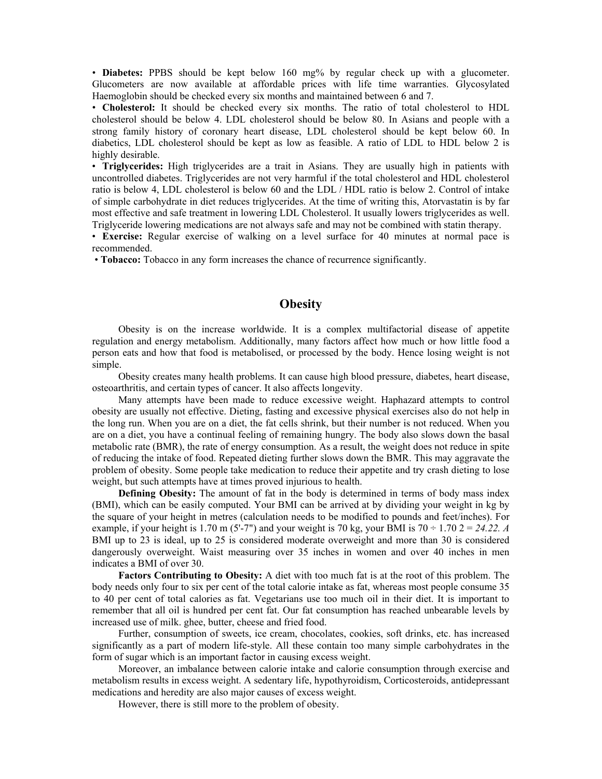• **Diabetes:** PPBS should be kept below 160 mg% by regular check up with a glucometer. Glucometers are now available at affordable prices with life time warranties. Glycosylated Haemoglobin should be checked every six months and maintained between 6 and 7.

• **Cholesterol:** It should be checked every six months. The ratio of total cholesterol to HDL cholesterol should be below 4. LDL cholesterol should be below 80. In Asians and people with a strong family history of coronary heart disease, LDL cholesterol should be kept below 60. In diabetics, LDL cholesterol should be kept as low as feasible. A ratio of LDL to HDL below 2 is highly desirable.

• **Triglycerides:** High triglycerides are a trait in Asians. They are usually high in patients with uncontrolled diabetes. Triglycerides are not very harmful if the total cholesterol and HDL cholesterol ratio is below 4, LDL cholesterol is below 60 and the LDL / HDL ratio is below 2. Control of intake of simple carbohydrate in diet reduces triglycerides. At the time of writing this, Atorvastatin is by far most effective and safe treatment in lowering LDL Cholesterol. It usually lowers triglycerides as well. Triglyceride lowering medications are not always safe and may not be combined with statin therapy.

• **Exercise:** Regular exercise of walking on a level surface for 40 minutes at normal pace is recommended.

• **Tobacco:** Tobacco in any form increases the chance of recurrence significantly.

### **Obesity**

Obesity is on the increase worldwide. It is a complex multifactorial disease of appetite regulation and energy metabolism. Additionally, many factors affect how much or how little food a person eats and how that food is metabolised, or processed by the body. Hence losing weight is not simple.

Obesity creates many health problems. It can cause high blood pressure, diabetes, heart disease, osteoarthritis, and certain types of cancer. It also affects longevity.

Many attempts have been made to reduce excessive weight. Haphazard attempts to control obesity are usually not effective. Dieting, fasting and excessive physical exercises also do not help in the long run. When you are on a diet, the fat cells shrink, but their number is not reduced. When you are on a diet, you have a continual feeling of remaining hungry. The body also slows down the basal metabolic rate (BMR), the rate of energy consumption. As a result, the weight does not reduce in spite of reducing the intake of food. Repeated dieting further slows down the BMR. This may aggravate the problem of obesity. Some people take medication to reduce their appetite and try crash dieting to lose weight, but such attempts have at times proved injurious to health.

**Defining Obesity:** The amount of fat in the body is determined in terms of body mass index (BMI), which can be easily computed. Your BMI can be arrived at by dividing your weight in kg by the square of your height in metres (calculation needs to be modified to pounds and feet/inches). For example, if your height is 1.70 m (5'-7") and your weight is 70 kg, your BMI is  $70 \div 1.70$  2 = 24.22. A BMI up to 23 is ideal, up to 25 is considered moderate overweight and more than 30 is considered dangerously overweight. Waist measuring over 35 inches in women and over 40 inches in men indicates a BMI of over 30.

**Factors Contributing to Obesity:** A diet with too much fat is at the root of this problem. The body needs only four to six per cent of the total calorie intake as fat, whereas most people consume 35 to 40 per cent of total calories as fat. Vegetarians use too much oil in their diet. It is important to remember that all oil is hundred per cent fat. Our fat consumption has reached unbearable levels by increased use of milk. ghee, butter, cheese and fried food.

Further, consumption of sweets, ice cream, chocolates, cookies, soft drinks, etc. has increased significantly as a part of modern life-style. All these contain too many simple carbohydrates in the form of sugar which is an important factor in causing excess weight.

Moreover, an imbalance between calorie intake and calorie consumption through exercise and metabolism results in excess weight. A sedentary life, hypothyroidism, Corticosteroids, antidepressant medications and heredity are also major causes of excess weight.

However, there is still more to the problem of obesity.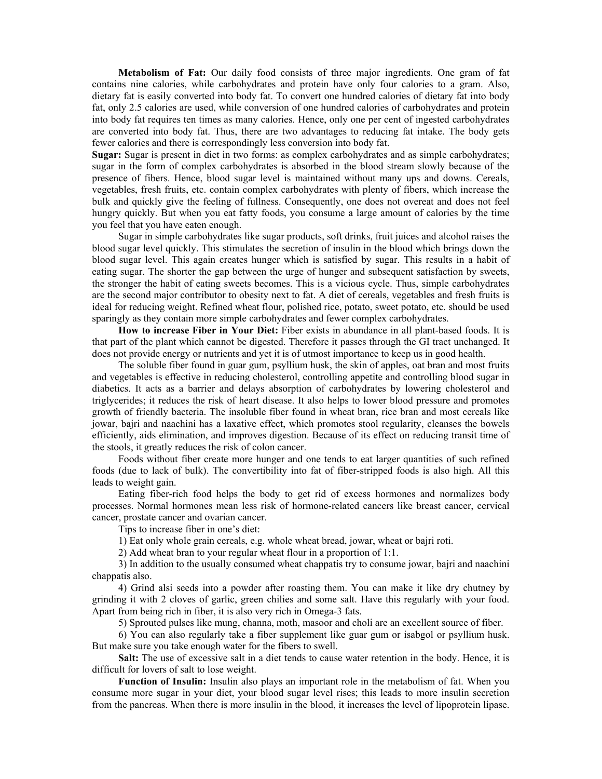**Metabolism of Fat:** Our daily food consists of three major ingredients. One gram of fat contains nine calories, while carbohydrates and protein have only four calories to a gram. Also, dietary fat is easily converted into body fat. To convert one hundred calories of dietary fat into body fat, only 2.5 calories are used, while conversion of one hundred calories of carbohydrates and protein into body fat requires ten times as many calories. Hence, only one per cent of ingested carbohydrates are converted into body fat. Thus, there are two advantages to reducing fat intake. The body gets fewer calories and there is correspondingly less conversion into body fat.

**Sugar:** Sugar is present in diet in two forms: as complex carbohydrates and as simple carbohydrates; sugar in the form of complex carbohydrates is absorbed in the blood stream slowly because of the presence of fibers. Hence, blood sugar level is maintained without many ups and downs. Cereals, vegetables, fresh fruits, etc. contain complex carbohydrates with plenty of fibers, which increase the bulk and quickly give the feeling of fullness. Consequently, one does not overeat and does not feel hungry quickly. But when you eat fatty foods, you consume a large amount of calories by the time you feel that you have eaten enough.

Sugar in simple carbohydrates like sugar products, soft drinks, fruit juices and alcohol raises the blood sugar level quickly. This stimulates the secretion of insulin in the blood which brings down the blood sugar level. This again creates hunger which is satisfied by sugar. This results in a habit of eating sugar. The shorter the gap between the urge of hunger and subsequent satisfaction by sweets, the stronger the habit of eating sweets becomes. This is a vicious cycle. Thus, simple carbohydrates are the second major contributor to obesity next to fat. A diet of cereals, vegetables and fresh fruits is ideal for reducing weight. Refined wheat flour, polished rice, potato, sweet potato, etc. should be used sparingly as they contain more simple carbohydrates and fewer complex carbohydrates.

**How to increase Fiber in Your Diet:** Fiber exists in abundance in all plant-based foods. It is that part of the plant which cannot be digested. Therefore it passes through the GI tract unchanged. It does not provide energy or nutrients and yet it is of utmost importance to keep us in good health.

The soluble fiber found in guar gum, psyllium husk, the skin of apples, oat bran and most fruits and vegetables is effective in reducing cholesterol, controlling appetite and controlling blood sugar in diabetics. It acts as a barrier and delays absorption of carbohydrates by lowering cholesterol and triglycerides; it reduces the risk of heart disease. It also helps to lower blood pressure and promotes growth of friendly bacteria. The insoluble fiber found in wheat bran, rice bran and most cereals like jowar, bajri and naachini has a laxative effect, which promotes stool regularity, cleanses the bowels efficiently, aids elimination, and improves digestion. Because of its effect on reducing transit time of the stools, it greatly reduces the risk of colon cancer.

Foods without fiber create more hunger and one tends to eat larger quantities of such refined foods (due to lack of bulk). The convertibility into fat of fiber-stripped foods is also high. All this leads to weight gain.

Eating fiber-rich food helps the body to get rid of excess hormones and normalizes body processes. Normal hormones mean less risk of hormone-related cancers like breast cancer, cervical cancer, prostate cancer and ovarian cancer.

Tips to increase fiber in one's diet:

1) Eat only whole grain cereals, e.g. whole wheat bread, jowar, wheat or bajri roti.

2) Add wheat bran to your regular wheat flour in a proportion of 1:1.

3) In addition to the usually consumed wheat chappatis try to consume jowar, bajri and naachini chappatis also.

4) Grind alsi seeds into a powder after roasting them. You can make it like dry chutney by grinding it with 2 cloves of garlic, green chilies and some salt. Have this regularly with your food. Apart from being rich in fiber, it is also very rich in Omega-3 fats.

5) Sprouted pulses like mung, channa, moth, masoor and choli are an excellent source of fiber.

6) You can also regularly take a fiber supplement like guar gum or isabgol or psyllium husk. But make sure you take enough water for the fibers to swell.

**Salt:** The use of excessive salt in a diet tends to cause water retention in the body. Hence, it is difficult for lovers of salt to lose weight.

**Function of Insulin:** Insulin also plays an important role in the metabolism of fat. When you consume more sugar in your diet, your blood sugar level rises; this leads to more insulin secretion from the pancreas. When there is more insulin in the blood, it increases the level of lipoprotein lipase.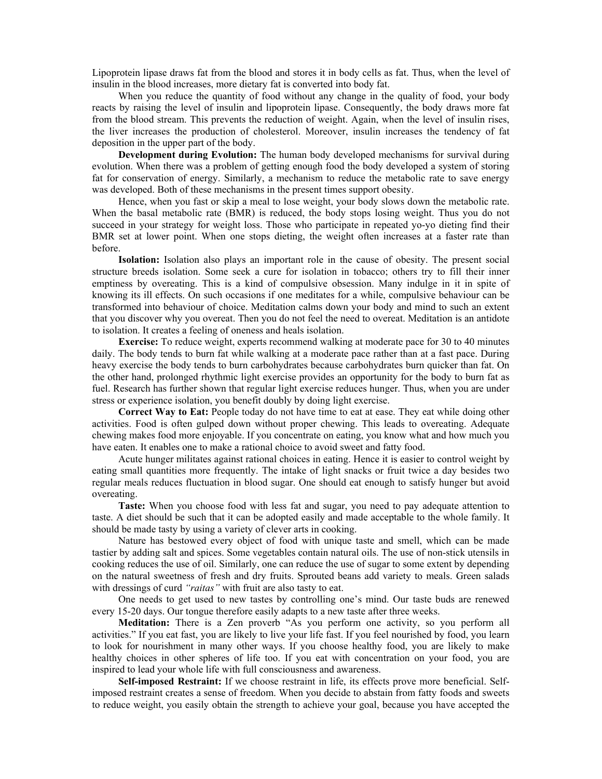Lipoprotein lipase draws fat from the blood and stores it in body cells as fat. Thus, when the level of insulin in the blood increases, more dietary fat is converted into body fat.

When you reduce the quantity of food without any change in the quality of food, your body reacts by raising the level of insulin and lipoprotein lipase. Consequently, the body draws more fat from the blood stream. This prevents the reduction of weight. Again, when the level of insulin rises, the liver increases the production of cholesterol. Moreover, insulin increases the tendency of fat deposition in the upper part of the body.

**Development during Evolution:** The human body developed mechanisms for survival during evolution. When there was a problem of getting enough food the body developed a system of storing fat for conservation of energy. Similarly, a mechanism to reduce the metabolic rate to save energy was developed. Both of these mechanisms in the present times support obesity.

Hence, when you fast or skip a meal to lose weight, your body slows down the metabolic rate. When the basal metabolic rate (BMR) is reduced, the body stops losing weight. Thus you do not succeed in your strategy for weight loss. Those who participate in repeated yo-yo dieting find their BMR set at lower point. When one stops dieting, the weight often increases at a faster rate than before.

**Isolation:** Isolation also plays an important role in the cause of obesity. The present social structure breeds isolation. Some seek a cure for isolation in tobacco; others try to fill their inner emptiness by overeating. This is a kind of compulsive obsession. Many indulge in it in spite of knowing its ill effects. On such occasions if one meditates for a while, compulsive behaviour can be transformed into behaviour of choice. Meditation calms down your body and mind to such an extent that you discover why you overeat. Then you do not feel the need to overeat. Meditation is an antidote to isolation. It creates a feeling of oneness and heals isolation.

**Exercise:** To reduce weight, experts recommend walking at moderate pace for 30 to 40 minutes daily. The body tends to burn fat while walking at a moderate pace rather than at a fast pace. During heavy exercise the body tends to burn carbohydrates because carbohydrates burn quicker than fat. On the other hand, prolonged rhythmic light exercise provides an opportunity for the body to burn fat as fuel. Research has further shown that regular light exercise reduces hunger. Thus, when you are under stress or experience isolation, you benefit doubly by doing light exercise.

**Correct Way to Eat:** People today do not have time to eat at ease. They eat while doing other activities. Food is often gulped down without proper chewing. This leads to overeating. Adequate chewing makes food more enjoyable. If you concentrate on eating, you know what and how much you have eaten. It enables one to make a rational choice to avoid sweet and fatty food.

Acute hunger militates against rational choices in eating. Hence it is easier to control weight by eating small quantities more frequently. The intake of light snacks or fruit twice a day besides two regular meals reduces fluctuation in blood sugar. One should eat enough to satisfy hunger but avoid overeating.

**Taste:** When you choose food with less fat and sugar, you need to pay adequate attention to taste. A diet should be such that it can be adopted easily and made acceptable to the whole family. It should be made tasty by using a variety of clever arts in cooking.

Nature has bestowed every object of food with unique taste and smell, which can be made tastier by adding salt and spices. Some vegetables contain natural oils. The use of non-stick utensils in cooking reduces the use of oil. Similarly, one can reduce the use of sugar to some extent by depending on the natural sweetness of fresh and dry fruits. Sprouted beans add variety to meals. Green salads with dressings of curd *"raitas"* with fruit are also tasty to eat.

One needs to get used to new tastes by controlling one's mind. Our taste buds are renewed every 15-20 days. Our tongue therefore easily adapts to a new taste after three weeks.

**Meditation:** There is a Zen proverb "As you perform one activity, so you perform all activities." If you eat fast, you are likely to live your life fast. If you feel nourished by food, you learn to look for nourishment in many other ways. If you choose healthy food, you are likely to make healthy choices in other spheres of life too. If you eat with concentration on your food, you are inspired to lead your whole life with full consciousness and awareness.

**Self-imposed Restraint:** If we choose restraint in life, its effects prove more beneficial. Selfimposed restraint creates a sense of freedom. When you decide to abstain from fatty foods and sweets to reduce weight, you easily obtain the strength to achieve your goal, because you have accepted the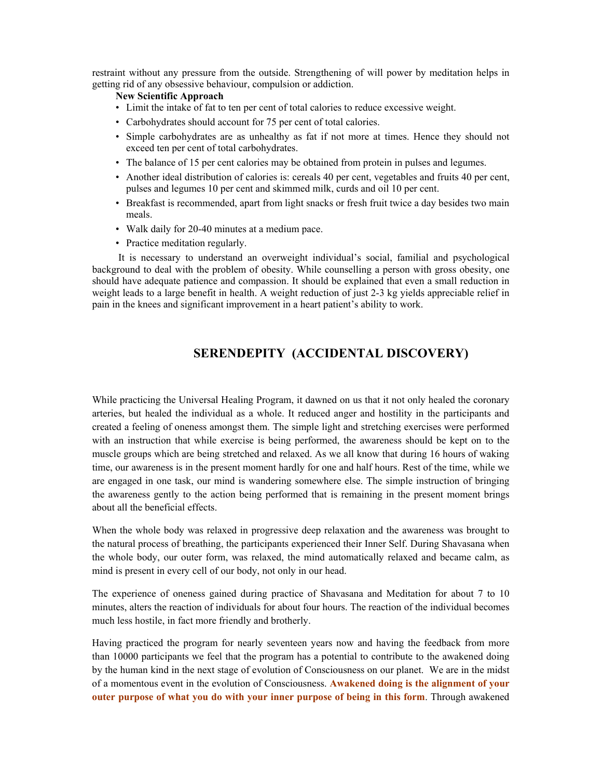restraint without any pressure from the outside. Strengthening of will power by meditation helps in getting rid of any obsessive behaviour, compulsion or addiction.

#### **New Scientific Approach**

- Limit the intake of fat to ten per cent of total calories to reduce excessive weight.
- Carbohydrates should account for 75 per cent of total calories.
- Simple carbohydrates are as unhealthy as fat if not more at times. Hence they should not exceed ten per cent of total carbohydrates.
- The balance of 15 per cent calories may be obtained from protein in pulses and legumes.
- Another ideal distribution of calories is: cereals 40 per cent, vegetables and fruits 40 per cent, pulses and legumes 10 per cent and skimmed milk, curds and oil 10 per cent.
- Breakfast is recommended, apart from light snacks or fresh fruit twice a day besides two main meals.
- Walk daily for 20-40 minutes at a medium pace.
- Practice meditation regularly.

It is necessary to understand an overweight individual's social, familial and psychological background to deal with the problem of obesity. While counselling a person with gross obesity, one should have adequate patience and compassion. It should be explained that even a small reduction in weight leads to a large benefit in health. A weight reduction of just 2-3 kg yields appreciable relief in pain in the knees and significant improvement in a heart patient's ability to work.

# **SERENDEPITY (ACCIDENTAL DISCOVERY)**

While practicing the Universal Healing Program, it dawned on us that it not only healed the coronary arteries, but healed the individual as a whole. It reduced anger and hostility in the participants and created a feeling of oneness amongst them. The simple light and stretching exercises were performed with an instruction that while exercise is being performed, the awareness should be kept on to the muscle groups which are being stretched and relaxed. As we all know that during 16 hours of waking time, our awareness is in the present moment hardly for one and half hours. Rest of the time, while we are engaged in one task, our mind is wandering somewhere else. The simple instruction of bringing the awareness gently to the action being performed that is remaining in the present moment brings about all the beneficial effects.

When the whole body was relaxed in progressive deep relaxation and the awareness was brought to the natural process of breathing, the participants experienced their Inner Self. During Shavasana when the whole body, our outer form, was relaxed, the mind automatically relaxed and became calm, as mind is present in every cell of our body, not only in our head.

The experience of oneness gained during practice of Shavasana and Meditation for about 7 to 10 minutes, alters the reaction of individuals for about four hours. The reaction of the individual becomes much less hostile, in fact more friendly and brotherly.

Having practiced the program for nearly seventeen years now and having the feedback from more than 10000 participants we feel that the program has a potential to contribute to the awakened doing by the human kind in the next stage of evolution of Consciousness on our planet. We are in the midst of a momentous event in the evolution of Consciousness. **Awakened doing is the alignment of your outer purpose of what you do with your inner purpose of being in this form**. Through awakened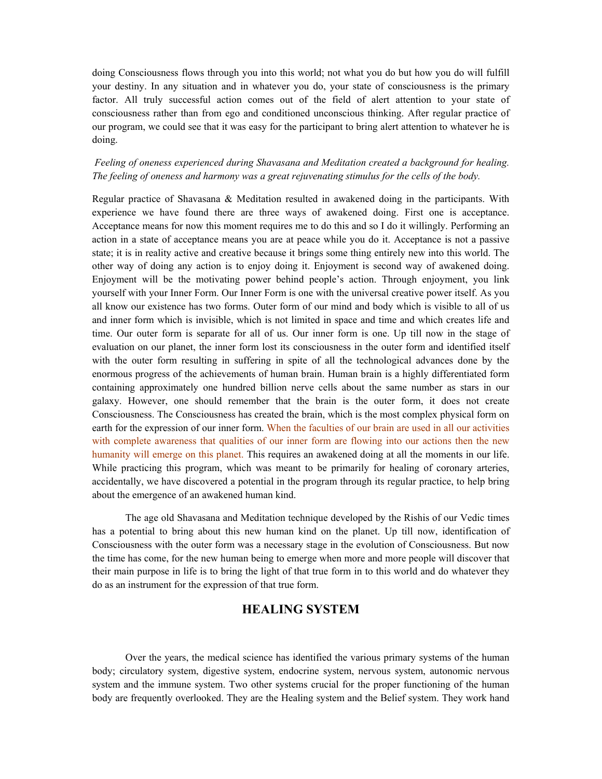doing Consciousness flows through you into this world; not what you do but how you do will fulfill your destiny. In any situation and in whatever you do, your state of consciousness is the primary factor. All truly successful action comes out of the field of alert attention to your state of consciousness rather than from ego and conditioned unconscious thinking. After regular practice of our program, we could see that it was easy for the participant to bring alert attention to whatever he is doing.

### *Feeling of oneness experienced during Shavasana and Meditation created a background for healing. The feeling of oneness and harmony was a great rejuvenating stimulus for the cells of the body.*

Regular practice of Shavasana & Meditation resulted in awakened doing in the participants. With experience we have found there are three ways of awakened doing. First one is acceptance. Acceptance means for now this moment requires me to do this and so I do it willingly. Performing an action in a state of acceptance means you are at peace while you do it. Acceptance is not a passive state; it is in reality active and creative because it brings some thing entirely new into this world. The other way of doing any action is to enjoy doing it. Enjoyment is second way of awakened doing. Enjoyment will be the motivating power behind people's action. Through enjoyment, you link yourself with your Inner Form. Our Inner Form is one with the universal creative power itself. As you all know our existence has two forms. Outer form of our mind and body which is visible to all of us and inner form which is invisible, which is not limited in space and time and which creates life and time. Our outer form is separate for all of us. Our inner form is one. Up till now in the stage of evaluation on our planet, the inner form lost its consciousness in the outer form and identified itself with the outer form resulting in suffering in spite of all the technological advances done by the enormous progress of the achievements of human brain. Human brain is a highly differentiated form containing approximately one hundred billion nerve cells about the same number as stars in our galaxy. However, one should remember that the brain is the outer form, it does not create Consciousness. The Consciousness has created the brain, which is the most complex physical form on earth for the expression of our inner form. When the faculties of our brain are used in all our activities with complete awareness that qualities of our inner form are flowing into our actions then the new humanity will emerge on this planet. This requires an awakened doing at all the moments in our life. While practicing this program, which was meant to be primarily for healing of coronary arteries, accidentally, we have discovered a potential in the program through its regular practice, to help bring about the emergence of an awakened human kind.

The age old Shavasana and Meditation technique developed by the Rishis of our Vedic times has a potential to bring about this new human kind on the planet. Up till now, identification of Consciousness with the outer form was a necessary stage in the evolution of Consciousness. But now the time has come, for the new human being to emerge when more and more people will discover that their main purpose in life is to bring the light of that true form in to this world and do whatever they do as an instrument for the expression of that true form.

## **HEALING SYSTEM**

Over the years, the medical science has identified the various primary systems of the human body; circulatory system, digestive system, endocrine system, nervous system, autonomic nervous system and the immune system. Two other systems crucial for the proper functioning of the human body are frequently overlooked. They are the Healing system and the Belief system. They work hand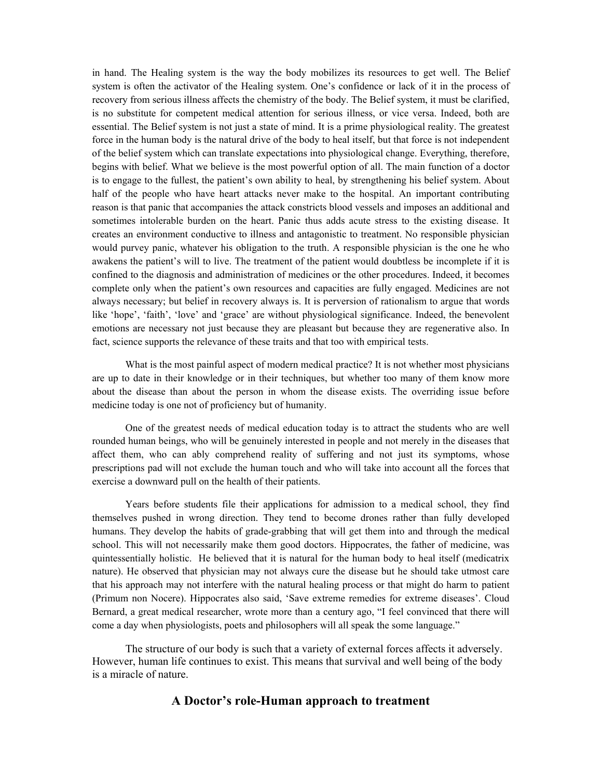in hand. The Healing system is the way the body mobilizes its resources to get well. The Belief system is often the activator of the Healing system. One's confidence or lack of it in the process of recovery from serious illness affects the chemistry of the body. The Belief system, it must be clarified, is no substitute for competent medical attention for serious illness, or vice versa. Indeed, both are essential. The Belief system is not just a state of mind. It is a prime physiological reality. The greatest force in the human body is the natural drive of the body to heal itself, but that force is not independent of the belief system which can translate expectations into physiological change. Everything, therefore, begins with belief. What we believe is the most powerful option of all. The main function of a doctor is to engage to the fullest, the patient's own ability to heal, by strengthening his belief system. About half of the people who have heart attacks never make to the hospital. An important contributing reason is that panic that accompanies the attack constricts blood vessels and imposes an additional and sometimes intolerable burden on the heart. Panic thus adds acute stress to the existing disease. It creates an environment conductive to illness and antagonistic to treatment. No responsible physician would purvey panic, whatever his obligation to the truth. A responsible physician is the one he who awakens the patient's will to live. The treatment of the patient would doubtless be incomplete if it is confined to the diagnosis and administration of medicines or the other procedures. Indeed, it becomes complete only when the patient's own resources and capacities are fully engaged. Medicines are not always necessary; but belief in recovery always is. It is perversion of rationalism to argue that words like 'hope', 'faith', 'love' and 'grace' are without physiological significance. Indeed, the benevolent emotions are necessary not just because they are pleasant but because they are regenerative also. In fact, science supports the relevance of these traits and that too with empirical tests.

What is the most painful aspect of modern medical practice? It is not whether most physicians are up to date in their knowledge or in their techniques, but whether too many of them know more about the disease than about the person in whom the disease exists. The overriding issue before medicine today is one not of proficiency but of humanity.

One of the greatest needs of medical education today is to attract the students who are well rounded human beings, who will be genuinely interested in people and not merely in the diseases that affect them, who can ably comprehend reality of suffering and not just its symptoms, whose prescriptions pad will not exclude the human touch and who will take into account all the forces that exercise a downward pull on the health of their patients.

Years before students file their applications for admission to a medical school, they find themselves pushed in wrong direction. They tend to become drones rather than fully developed humans. They develop the habits of grade-grabbing that will get them into and through the medical school. This will not necessarily make them good doctors. Hippocrates, the father of medicine, was quintessentially holistic. He believed that it is natural for the human body to heal itself (medicatrix nature). He observed that physician may not always cure the disease but he should take utmost care that his approach may not interfere with the natural healing process or that might do harm to patient (Primum non Nocere). Hippocrates also said, 'Save extreme remedies for extreme diseases'. Cloud Bernard, a great medical researcher, wrote more than a century ago, "I feel convinced that there will come a day when physiologists, poets and philosophers will all speak the some language."

The structure of our body is such that a variety of external forces affects it adversely. However, human life continues to exist. This means that survival and well being of the body is a miracle of nature.

# **A Doctor's role-Human approach to treatment**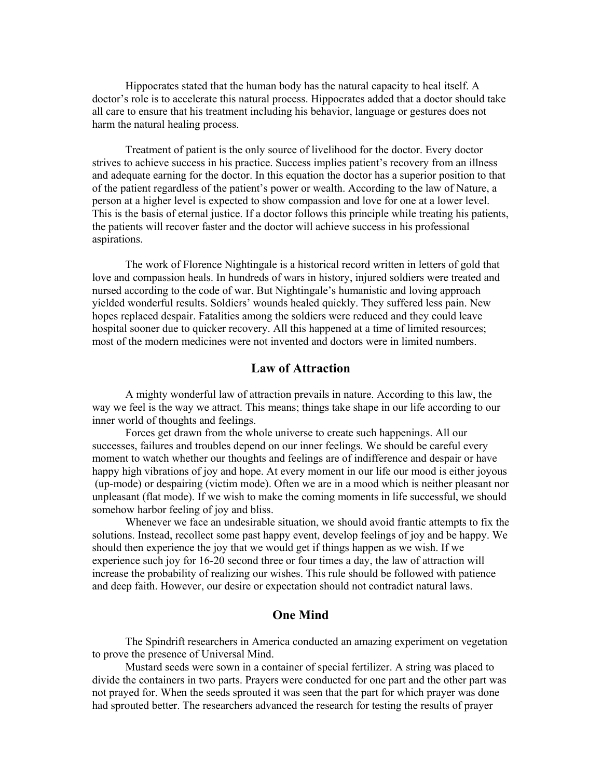Hippocrates stated that the human body has the natural capacity to heal itself. A doctor's role is to accelerate this natural process. Hippocrates added that a doctor should take all care to ensure that his treatment including his behavior, language or gestures does not harm the natural healing process.

Treatment of patient is the only source of livelihood for the doctor. Every doctor strives to achieve success in his practice. Success implies patient's recovery from an illness and adequate earning for the doctor. In this equation the doctor has a superior position to that of the patient regardless of the patient's power or wealth. According to the law of Nature, a person at a higher level is expected to show compassion and love for one at a lower level. This is the basis of eternal justice. If a doctor follows this principle while treating his patients, the patients will recover faster and the doctor will achieve success in his professional aspirations.

The work of Florence Nightingale is a historical record written in letters of gold that love and compassion heals. In hundreds of wars in history, injured soldiers were treated and nursed according to the code of war. But Nightingale's humanistic and loving approach yielded wonderful results. Soldiers' wounds healed quickly. They suffered less pain. New hopes replaced despair. Fatalities among the soldiers were reduced and they could leave hospital sooner due to quicker recovery. All this happened at a time of limited resources; most of the modern medicines were not invented and doctors were in limited numbers.

## **Law of Attraction**

A mighty wonderful law of attraction prevails in nature. According to this law, the way we feel is the way we attract. This means; things take shape in our life according to our inner world of thoughts and feelings.

Forces get drawn from the whole universe to create such happenings. All our successes, failures and troubles depend on our inner feelings. We should be careful every moment to watch whether our thoughts and feelings are of indifference and despair or have happy high vibrations of joy and hope. At every moment in our life our mood is either joyous (up-mode) or despairing (victim mode). Often we are in a mood which is neither pleasant nor unpleasant (flat mode). If we wish to make the coming moments in life successful, we should somehow harbor feeling of joy and bliss.

Whenever we face an undesirable situation, we should avoid frantic attempts to fix the solutions. Instead, recollect some past happy event, develop feelings of joy and be happy. We should then experience the joy that we would get if things happen as we wish. If we experience such joy for 16-20 second three or four times a day, the law of attraction will increase the probability of realizing our wishes. This rule should be followed with patience and deep faith. However, our desire or expectation should not contradict natural laws.

### **One Mind**

The Spindrift researchers in America conducted an amazing experiment on vegetation to prove the presence of Universal Mind.

 Mustard seeds were sown in a container of special fertilizer. A string was placed to divide the containers in two parts. Prayers were conducted for one part and the other part was not prayed for. When the seeds sprouted it was seen that the part for which prayer was done had sprouted better. The researchers advanced the research for testing the results of prayer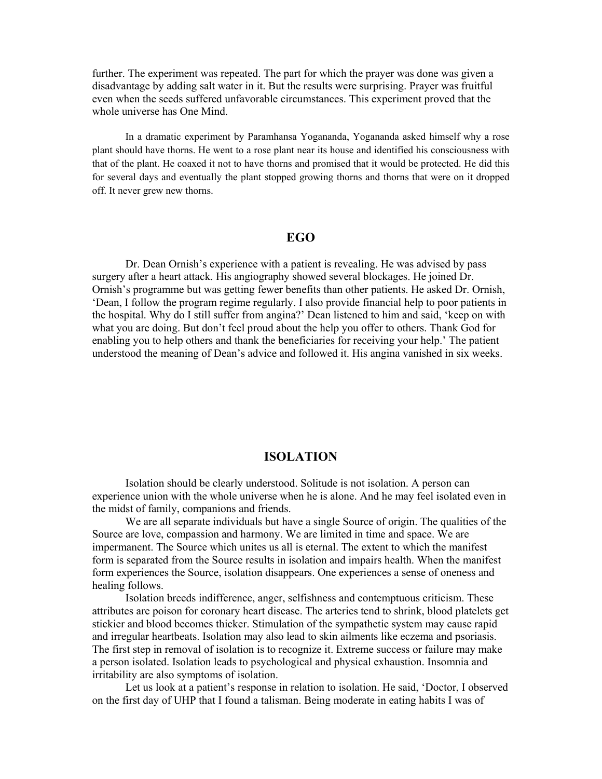further. The experiment was repeated. The part for which the prayer was done was given a disadvantage by adding salt water in it. But the results were surprising. Prayer was fruitful even when the seeds suffered unfavorable circumstances. This experiment proved that the whole universe has One Mind.

In a dramatic experiment by Paramhansa Yogananda, Yogananda asked himself why a rose plant should have thorns. He went to a rose plant near its house and identified his consciousness with that of the plant. He coaxed it not to have thorns and promised that it would be protected. He did this for several days and eventually the plant stopped growing thorns and thorns that were on it dropped off. It never grew new thorns.

### **EGO**

Dr. Dean Ornish's experience with a patient is revealing. He was advised by pass surgery after a heart attack. His angiography showed several blockages. He joined Dr. Ornish's programme but was getting fewer benefits than other patients. He asked Dr. Ornish, 'Dean, I follow the program regime regularly. I also provide financial help to poor patients in the hospital. Why do I still suffer from angina?' Dean listened to him and said, 'keep on with what you are doing. But don't feel proud about the help you offer to others. Thank God for enabling you to help others and thank the beneficiaries for receiving your help.' The patient understood the meaning of Dean's advice and followed it. His angina vanished in six weeks.

## **ISOLATION**

Isolation should be clearly understood. Solitude is not isolation. A person can experience union with the whole universe when he is alone. And he may feel isolated even in the midst of family, companions and friends.

We are all separate individuals but have a single Source of origin. The qualities of the Source are love, compassion and harmony. We are limited in time and space. We are impermanent. The Source which unites us all is eternal. The extent to which the manifest form is separated from the Source results in isolation and impairs health. When the manifest form experiences the Source, isolation disappears. One experiences a sense of oneness and healing follows.

Isolation breeds indifference, anger, selfishness and contemptuous criticism. These attributes are poison for coronary heart disease. The arteries tend to shrink, blood platelets get stickier and blood becomes thicker. Stimulation of the sympathetic system may cause rapid and irregular heartbeats. Isolation may also lead to skin ailments like eczema and psoriasis. The first step in removal of isolation is to recognize it. Extreme success or failure may make a person isolated. Isolation leads to psychological and physical exhaustion. Insomnia and irritability are also symptoms of isolation.

Let us look at a patient's response in relation to isolation. He said, 'Doctor, I observed on the first day of UHP that I found a talisman. Being moderate in eating habits I was of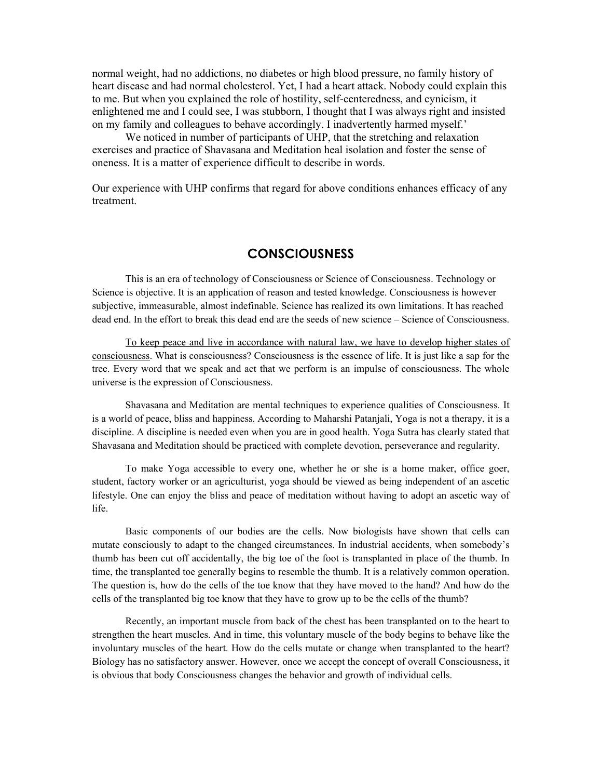normal weight, had no addictions, no diabetes or high blood pressure, no family history of heart disease and had normal cholesterol. Yet, I had a heart attack. Nobody could explain this to me. But when you explained the role of hostility, self-centeredness, and cynicism, it enlightened me and I could see, I was stubborn, I thought that I was always right and insisted on my family and colleagues to behave accordingly. I inadvertently harmed myself.'

We noticed in number of participants of UHP, that the stretching and relaxation exercises and practice of Shavasana and Meditation heal isolation and foster the sense of oneness. It is a matter of experience difficult to describe in words.

Our experience with UHP confirms that regard for above conditions enhances efficacy of any treatment.

# **CONSCIOUSNESS**

This is an era of technology of Consciousness or Science of Consciousness. Technology or Science is objective. It is an application of reason and tested knowledge. Consciousness is however subjective, immeasurable, almost indefinable. Science has realized its own limitations. It has reached dead end. In the effort to break this dead end are the seeds of new science – Science of Consciousness.

To keep peace and live in accordance with natural law, we have to develop higher states of consciousness. What is consciousness? Consciousness is the essence of life. It is just like a sap for the tree. Every word that we speak and act that we perform is an impulse of consciousness. The whole universe is the expression of Consciousness.

Shavasana and Meditation are mental techniques to experience qualities of Consciousness. It is a world of peace, bliss and happiness. According to Maharshi Patanjali, Yoga is not a therapy, it is a discipline. A discipline is needed even when you are in good health. Yoga Sutra has clearly stated that Shavasana and Meditation should be practiced with complete devotion, perseverance and regularity.

To make Yoga accessible to every one, whether he or she is a home maker, office goer, student, factory worker or an agriculturist, yoga should be viewed as being independent of an ascetic lifestyle. One can enjoy the bliss and peace of meditation without having to adopt an ascetic way of life.

Basic components of our bodies are the cells. Now biologists have shown that cells can mutate consciously to adapt to the changed circumstances. In industrial accidents, when somebody's thumb has been cut off accidentally, the big toe of the foot is transplanted in place of the thumb. In time, the transplanted toe generally begins to resemble the thumb. It is a relatively common operation. The question is, how do the cells of the toe know that they have moved to the hand? And how do the cells of the transplanted big toe know that they have to grow up to be the cells of the thumb?

Recently, an important muscle from back of the chest has been transplanted on to the heart to strengthen the heart muscles. And in time, this voluntary muscle of the body begins to behave like the involuntary muscles of the heart. How do the cells mutate or change when transplanted to the heart? Biology has no satisfactory answer. However, once we accept the concept of overall Consciousness, it is obvious that body Consciousness changes the behavior and growth of individual cells.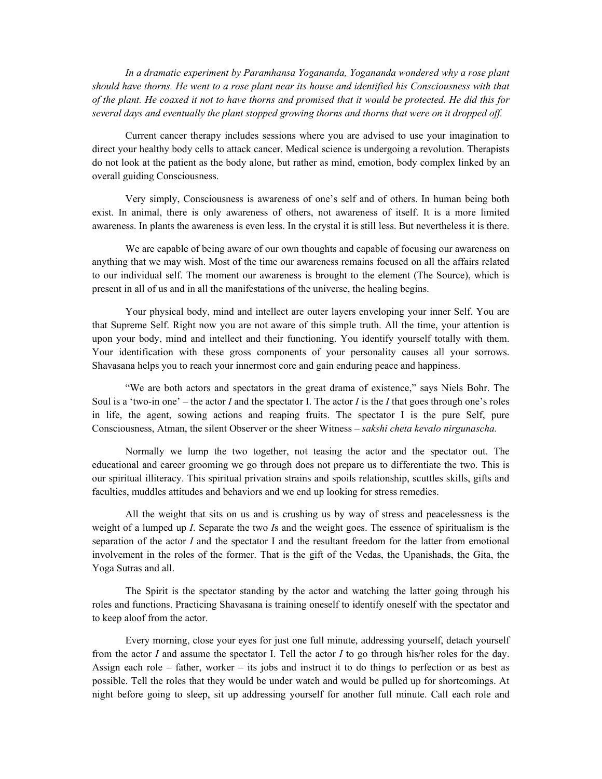*In a dramatic experiment by Paramhansa Yogananda, Yogananda wondered why a rose plant should have thorns. He went to a rose plant near its house and identified his Consciousness with that of the plant. He coaxed it not to have thorns and promised that it would be protected. He did this for several days and eventually the plant stopped growing thorns and thorns that were on it dropped off.* 

Current cancer therapy includes sessions where you are advised to use your imagination to direct your healthy body cells to attack cancer. Medical science is undergoing a revolution. Therapists do not look at the patient as the body alone, but rather as mind, emotion, body complex linked by an overall guiding Consciousness.

Very simply, Consciousness is awareness of one's self and of others. In human being both exist. In animal, there is only awareness of others, not awareness of itself. It is a more limited awareness. In plants the awareness is even less. In the crystal it is still less. But nevertheless it is there.

We are capable of being aware of our own thoughts and capable of focusing our awareness on anything that we may wish. Most of the time our awareness remains focused on all the affairs related to our individual self. The moment our awareness is brought to the element (The Source), which is present in all of us and in all the manifestations of the universe, the healing begins.

Your physical body, mind and intellect are outer layers enveloping your inner Self. You are that Supreme Self. Right now you are not aware of this simple truth. All the time, your attention is upon your body, mind and intellect and their functioning. You identify yourself totally with them. Your identification with these gross components of your personality causes all your sorrows. Shavasana helps you to reach your innermost core and gain enduring peace and happiness.

"We are both actors and spectators in the great drama of existence," says Niels Bohr. The Soul is a 'two-in one' – the actor *I* and the spectator I. The actor *I* is the *I* that goes through one's roles in life, the agent, sowing actions and reaping fruits. The spectator I is the pure Self, pure Consciousness, Atman, the silent Observer or the sheer Witness – *sakshi cheta kevalo nirgunascha.* 

Normally we lump the two together, not teasing the actor and the spectator out. The educational and career grooming we go through does not prepare us to differentiate the two. This is our spiritual illiteracy. This spiritual privation strains and spoils relationship, scuttles skills, gifts and faculties, muddles attitudes and behaviors and we end up looking for stress remedies.

All the weight that sits on us and is crushing us by way of stress and peacelessness is the weight of a lumped up *I*. Separate the two *I*s and the weight goes. The essence of spiritualism is the separation of the actor *I* and the spectator I and the resultant freedom for the latter from emotional involvement in the roles of the former. That is the gift of the Vedas, the Upanishads, the Gita, the Yoga Sutras and all.

The Spirit is the spectator standing by the actor and watching the latter going through his roles and functions. Practicing Shavasana is training oneself to identify oneself with the spectator and to keep aloof from the actor.

Every morning, close your eyes for just one full minute, addressing yourself, detach yourself from the actor *I* and assume the spectator I. Tell the actor *I* to go through his/her roles for the day. Assign each role – father, worker – its jobs and instruct it to do things to perfection or as best as possible. Tell the roles that they would be under watch and would be pulled up for shortcomings. At night before going to sleep, sit up addressing yourself for another full minute. Call each role and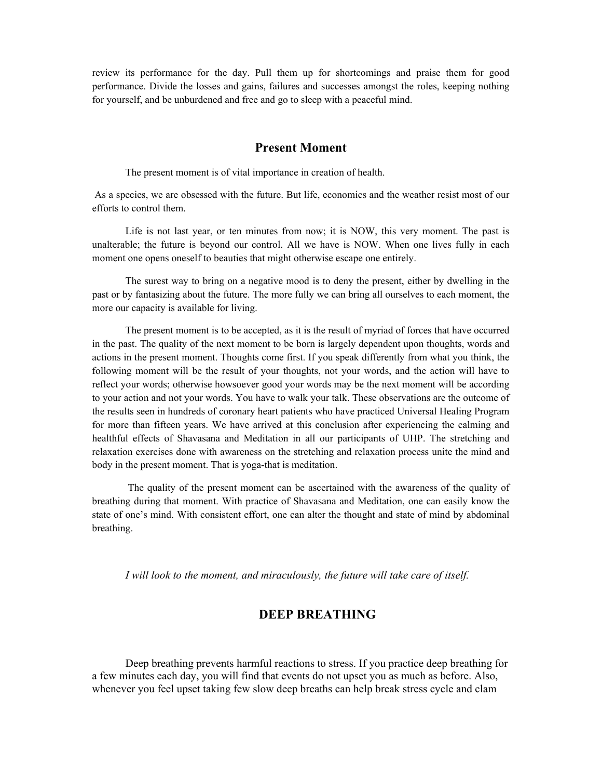review its performance for the day. Pull them up for shortcomings and praise them for good performance. Divide the losses and gains, failures and successes amongst the roles, keeping nothing for yourself, and be unburdened and free and go to sleep with a peaceful mind.

### **Present Moment**

The present moment is of vital importance in creation of health.

 As a species, we are obsessed with the future. But life, economics and the weather resist most of our efforts to control them.

Life is not last year, or ten minutes from now; it is NOW, this very moment. The past is unalterable; the future is beyond our control. All we have is NOW. When one lives fully in each moment one opens oneself to beauties that might otherwise escape one entirely.

The surest way to bring on a negative mood is to deny the present, either by dwelling in the past or by fantasizing about the future. The more fully we can bring all ourselves to each moment, the more our capacity is available for living.

The present moment is to be accepted, as it is the result of myriad of forces that have occurred in the past. The quality of the next moment to be born is largely dependent upon thoughts, words and actions in the present moment. Thoughts come first. If you speak differently from what you think, the following moment will be the result of your thoughts, not your words, and the action will have to reflect your words; otherwise howsoever good your words may be the next moment will be according to your action and not your words. You have to walk your talk. These observations are the outcome of the results seen in hundreds of coronary heart patients who have practiced Universal Healing Program for more than fifteen years. We have arrived at this conclusion after experiencing the calming and healthful effects of Shavasana and Meditation in all our participants of UHP. The stretching and relaxation exercises done with awareness on the stretching and relaxation process unite the mind and body in the present moment. That is yoga-that is meditation.

 The quality of the present moment can be ascertained with the awareness of the quality of breathing during that moment. With practice of Shavasana and Meditation, one can easily know the state of one's mind. With consistent effort, one can alter the thought and state of mind by abdominal breathing.

*I will look to the moment, and miraculously, the future will take care of itself.* 

## **DEEP BREATHING**

Deep breathing prevents harmful reactions to stress. If you practice deep breathing for a few minutes each day, you will find that events do not upset you as much as before. Also, whenever you feel upset taking few slow deep breaths can help break stress cycle and clam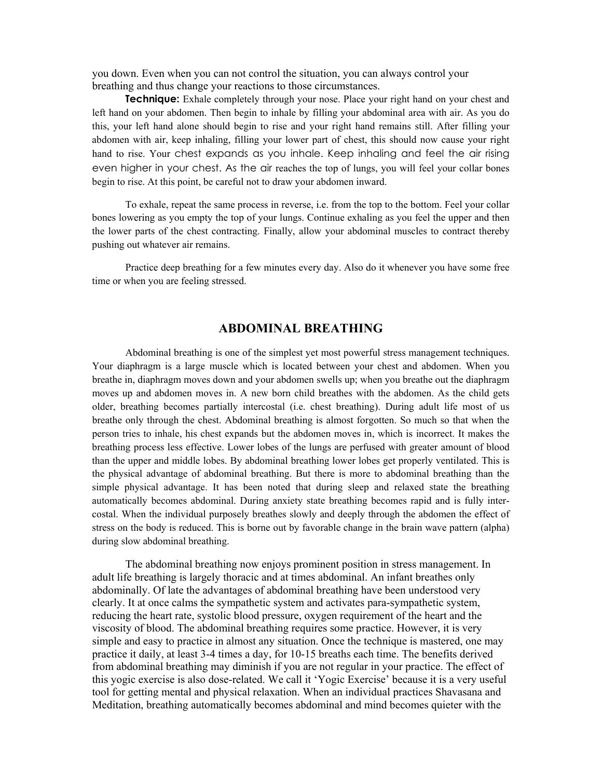you down. Even when you can not control the situation, you can always control your breathing and thus change your reactions to those circumstances.

**Technique:** Exhale completely through your nose. Place your right hand on your chest and left hand on your abdomen. Then begin to inhale by filling your abdominal area with air. As you do this, your left hand alone should begin to rise and your right hand remains still. After filling your abdomen with air, keep inhaling, filling your lower part of chest, this should now cause your right hand to rise. Your chest expands as you inhale. Keep inhaling and feel the air rising even higher in your chest. As the air reaches the top of lungs, you will feel your collar bones begin to rise. At this point, be careful not to draw your abdomen inward.

 To exhale, repeat the same process in reverse, i.e. from the top to the bottom. Feel your collar bones lowering as you empty the top of your lungs. Continue exhaling as you feel the upper and then the lower parts of the chest contracting. Finally, allow your abdominal muscles to contract thereby pushing out whatever air remains.

 Practice deep breathing for a few minutes every day. Also do it whenever you have some free time or when you are feeling stressed.

### **ABDOMINAL BREATHING**

Abdominal breathing is one of the simplest yet most powerful stress management techniques. Your diaphragm is a large muscle which is located between your chest and abdomen. When you breathe in, diaphragm moves down and your abdomen swells up; when you breathe out the diaphragm moves up and abdomen moves in. A new born child breathes with the abdomen. As the child gets older, breathing becomes partially intercostal (i.e. chest breathing). During adult life most of us breathe only through the chest. Abdominal breathing is almost forgotten. So much so that when the person tries to inhale, his chest expands but the abdomen moves in, which is incorrect. It makes the breathing process less effective. Lower lobes of the lungs are perfused with greater amount of blood than the upper and middle lobes. By abdominal breathing lower lobes get properly ventilated. This is the physical advantage of abdominal breathing. But there is more to abdominal breathing than the simple physical advantage. It has been noted that during sleep and relaxed state the breathing automatically becomes abdominal. During anxiety state breathing becomes rapid and is fully intercostal. When the individual purposely breathes slowly and deeply through the abdomen the effect of stress on the body is reduced. This is borne out by favorable change in the brain wave pattern (alpha) during slow abdominal breathing.

 The abdominal breathing now enjoys prominent position in stress management. In adult life breathing is largely thoracic and at times abdominal. An infant breathes only abdominally. Of late the advantages of abdominal breathing have been understood very clearly. It at once calms the sympathetic system and activates para-sympathetic system, reducing the heart rate, systolic blood pressure, oxygen requirement of the heart and the viscosity of blood. The abdominal breathing requires some practice. However, it is very simple and easy to practice in almost any situation. Once the technique is mastered, one may practice it daily, at least 3-4 times a day, for 10-15 breaths each time. The benefits derived from abdominal breathing may diminish if you are not regular in your practice. The effect of this yogic exercise is also dose-related. We call it 'Yogic Exercise' because it is a very useful tool for getting mental and physical relaxation. When an individual practices Shavasana and Meditation, breathing automatically becomes abdominal and mind becomes quieter with the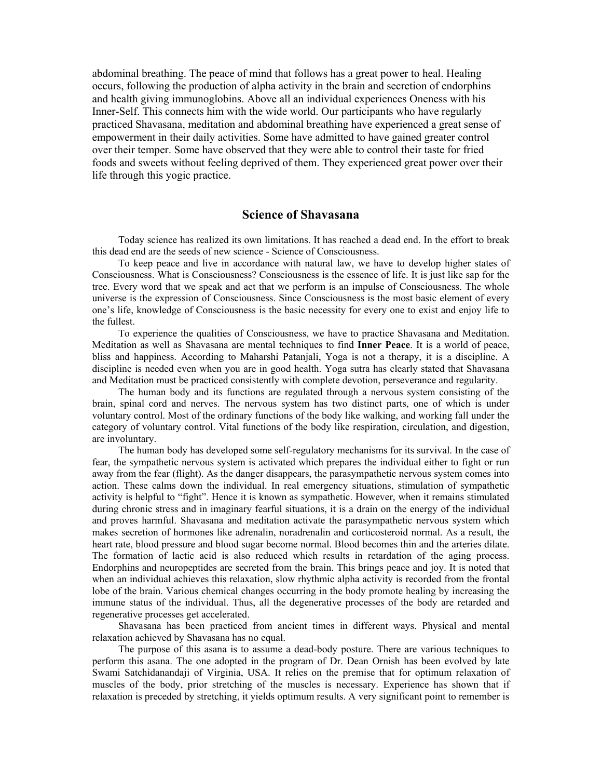abdominal breathing. The peace of mind that follows has a great power to heal. Healing occurs, following the production of alpha activity in the brain and secretion of endorphins and health giving immunoglobins. Above all an individual experiences Oneness with his Inner-Self. This connects him with the wide world. Our participants who have regularly practiced Shavasana, meditation and abdominal breathing have experienced a great sense of empowerment in their daily activities. Some have admitted to have gained greater control over their temper. Some have observed that they were able to control their taste for fried foods and sweets without feeling deprived of them. They experienced great power over their life through this yogic practice.

### **Science of Shavasana**

Today science has realized its own limitations. It has reached a dead end. In the effort to break this dead end are the seeds of new science - Science of Consciousness.

To keep peace and live in accordance with natural law, we have to develop higher states of Consciousness. What is Consciousness? Consciousness is the essence of life. It is just like sap for the tree. Every word that we speak and act that we perform is an impulse of Consciousness. The whole universe is the expression of Consciousness. Since Consciousness is the most basic element of every one's life, knowledge of Consciousness is the basic necessity for every one to exist and enjoy life to the fullest.

To experience the qualities of Consciousness, we have to practice Shavasana and Meditation. Meditation as well as Shavasana are mental techniques to find **Inner Peace**. It is a world of peace, bliss and happiness. According to Maharshi Patanjali, Yoga is not a therapy, it is a discipline. A discipline is needed even when you are in good health. Yoga sutra has clearly stated that Shavasana and Meditation must be practiced consistently with complete devotion, perseverance and regularity.

The human body and its functions are regulated through a nervous system consisting of the brain, spinal cord and nerves. The nervous system has two distinct parts, one of which is under voluntary control. Most of the ordinary functions of the body like walking, and working fall under the category of voluntary control. Vital functions of the body like respiration, circulation, and digestion, are involuntary.

The human body has developed some self-regulatory mechanisms for its survival. In the case of fear, the sympathetic nervous system is activated which prepares the individual either to fight or run away from the fear (flight). As the danger disappears, the parasympathetic nervous system comes into action. These calms down the individual. In real emergency situations, stimulation of sympathetic activity is helpful to "fight". Hence it is known as sympathetic. However, when it remains stimulated during chronic stress and in imaginary fearful situations, it is a drain on the energy of the individual and proves harmful. Shavasana and meditation activate the parasympathetic nervous system which makes secretion of hormones like adrenalin, noradrenalin and corticosteroid normal. As a result, the heart rate, blood pressure and blood sugar become normal. Blood becomes thin and the arteries dilate. The formation of lactic acid is also reduced which results in retardation of the aging process. Endorphins and neuropeptides are secreted from the brain. This brings peace and joy. It is noted that when an individual achieves this relaxation, slow rhythmic alpha activity is recorded from the frontal lobe of the brain. Various chemical changes occurring in the body promote healing by increasing the immune status of the individual. Thus, all the degenerative processes of the body are retarded and regenerative processes get accelerated.

Shavasana has been practiced from ancient times in different ways. Physical and mental relaxation achieved by Shavasana has no equal.

The purpose of this asana is to assume a dead-body posture. There are various techniques to perform this asana. The one adopted in the program of Dr. Dean Ornish has been evolved by late Swami Satchidanandaji of Virginia, USA. It relies on the premise that for optimum relaxation of muscles of the body, prior stretching of the muscles is necessary. Experience has shown that if relaxation is preceded by stretching, it yields optimum results. A very significant point to remember is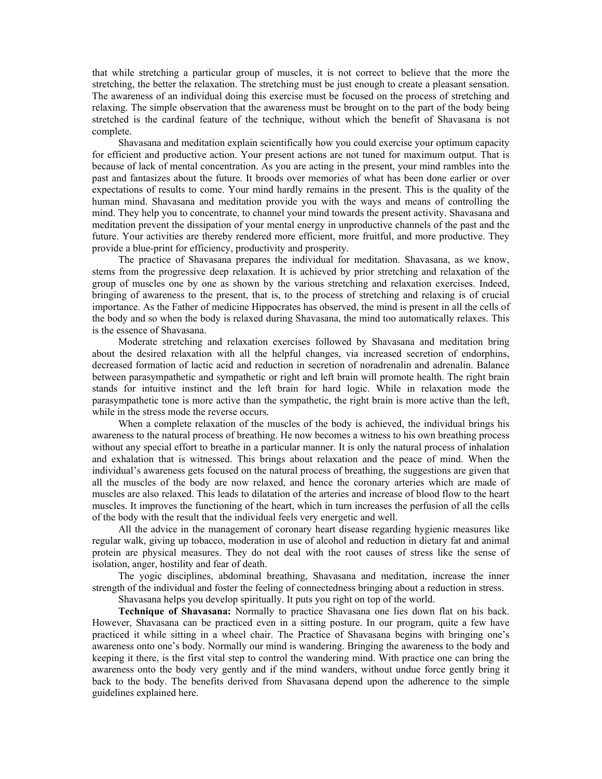that while stretching a particular group of muscles, it is not correct to believe that the more the stretching, the better the relaxation. The stretching must be just enough to create a pleasant sensation. The awareness of an individual doing this exercise must be focused on the process of stretching and relaxing. The simple observation that the awareness must be brought on to the part of the body being stretched is the cardinal feature of the technique, without which the benefit of Shavasana is not complete.

Shavasana and meditation explain scientifically how you could exercise your optimum capacity for efficient and productive action. Your present actions are not tuned for maximum output. That is because of lack of mental concentration. As you are acting in the present, your mind rambles into the past and fantasizes about the future. It broods over memories of what has been done earlier or over expectations of results to come. Your mind hardly remains in the present. This is the quality of the human mind. Shavasana and meditation provide you with the ways and means of controlling the mind. They help you to concentrate, to channel your mind towards the present activity. Shavasana and meditation prevent the dissipation of your mental energy in unproductive channels of the past and the future. Your activities are thereby rendered more efficient, more fruitful, and more productive. They provide a blue-print for efficiency, productivity and prosperity.

The practice of Shavasana prepares the individual for meditation. Shavasana, as we know, stems from the progressive deep relaxation. It is achieved by prior stretching and relaxation of the group of muscles one by one as shown by the various stretching and relaxation exercises. Indeed, bringing of awareness to the present, that is, to the process of stretching and relaxing is of crucial importance. As the Father of medicine Hippocrates has observed, the mind is present in all the cells of the body and so when the body is relaxed during Shavasana, the mind too automatically relaxes. This is the essence of Shavasana.

Moderate stretching and relaxation exercises followed by Shavasana and meditation bring about the desired relaxation with all the helpful changes, via increased secretion of endorphins, decreased formation of lactic acid and reduction in secretion of noradrenalin and adrenalin. Balance between parasympathetic and sympathetic or right and left brain will promote health. The right brain stands for intuitive instinct and the left brain for hard logic. While in relaxation mode the parasympathetic tone is more active than the sympathetic, the right brain is more active than the left, while in the stress mode the reverse occurs.

When a complete relaxation of the muscles of the body is achieved, the individual brings his awareness to the natural process of breathing. He now becomes a witness to his own breathing process without any special effort to breathe in a particular manner. It is only the natural process of inhalation and exhalation that is witnessed. This brings about relaxation and the peace of mind. When the individual's awareness gets focused on the natural process of breathing, the suggestions are given that all the muscles of the body are now relaxed, and hence the coronary arteries which are made of muscles are also relaxed. This leads to dilatation of the arteries and increase of blood flow to the heart muscles. It improves the functioning of the heart, which in turn increases the perfusion of all the cells of the body with the result that the individual feels very energetic and well.

All the advice in the management of coronary heart disease regarding hygienic measures like regular walk, giving up tobacco, moderation in use of alcohol and reduction in dietary fat and animal protein are physical measures. They do not deal with the root causes of stress like the sense of isolation, anger, hostility and fear of death.

The yogic disciplines, abdominal breathing, Shavasana and meditation, increase the inner strength of the individual and foster the feeling of connectedness bringing about a reduction in stress.

Shavasana helps you develop spiritually. It puts you right on top of the world.

**Technique of Shavasana:** Normally to practice Shavasana one lies down flat on his back. However, Shavasana can be practiced even in a sitting posture. In our program, quite a few have practiced it while sitting in a wheel chair. The Practice of Shavasana begins with bringing one's awareness onto one's body. Normally our mind is wandering. Bringing the awareness to the body and keeping it there, is the first vital step to control the wandering mind. With practice one can bring the awareness onto the body very gently and if the mind wanders, without undue force gently bring it back to the body. The benefits derived from Shavasana depend upon the adherence to the simple guidelines explained here.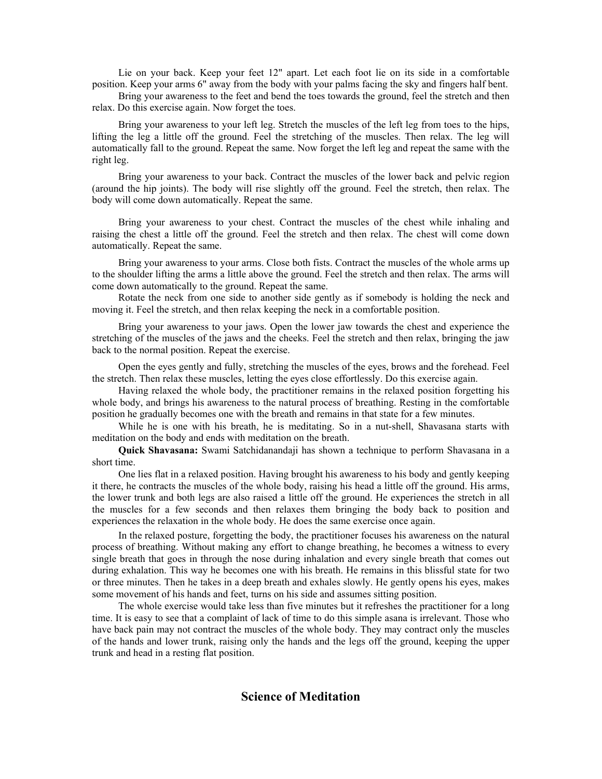Lie on your back. Keep your feet 12" apart. Let each foot lie on its side in a comfortable position. Keep your arms 6" away from the body with your palms facing the sky and fingers half bent.

Bring your awareness to the feet and bend the toes towards the ground, feel the stretch and then relax. Do this exercise again. Now forget the toes.

Bring your awareness to your left leg. Stretch the muscles of the left leg from toes to the hips, lifting the leg a little off the ground. Feel the stretching of the muscles. Then relax. The leg will automatically fall to the ground. Repeat the same. Now forget the left leg and repeat the same with the right leg.

Bring your awareness to your back. Contract the muscles of the lower back and pelvic region (around the hip joints). The body will rise slightly off the ground. Feel the stretch, then relax. The body will come down automatically. Repeat the same.

Bring your awareness to your chest. Contract the muscles of the chest while inhaling and raising the chest a little off the ground. Feel the stretch and then relax. The chest will come down automatically. Repeat the same.

Bring your awareness to your arms. Close both fists. Contract the muscles of the whole arms up to the shoulder lifting the arms a little above the ground. Feel the stretch and then relax. The arms will come down automatically to the ground. Repeat the same.

Rotate the neck from one side to another side gently as if somebody is holding the neck and moving it. Feel the stretch, and then relax keeping the neck in a comfortable position.

Bring your awareness to your jaws. Open the lower jaw towards the chest and experience the stretching of the muscles of the jaws and the cheeks. Feel the stretch and then relax, bringing the jaw back to the normal position. Repeat the exercise.

Open the eyes gently and fully, stretching the muscles of the eyes, brows and the forehead. Feel the stretch. Then relax these muscles, letting the eyes close effortlessly. Do this exercise again.

Having relaxed the whole body, the practitioner remains in the relaxed position forgetting his whole body, and brings his awareness to the natural process of breathing. Resting in the comfortable position he gradually becomes one with the breath and remains in that state for a few minutes.

While he is one with his breath, he is meditating. So in a nut-shell, Shavasana starts with meditation on the body and ends with meditation on the breath.

**Quick Shavasana:** Swami Satchidanandaji has shown a technique to perform Shavasana in a short time.

One lies flat in a relaxed position. Having brought his awareness to his body and gently keeping it there, he contracts the muscles of the whole body, raising his head a little off the ground. His arms, the lower trunk and both legs are also raised a little off the ground. He experiences the stretch in all the muscles for a few seconds and then relaxes them bringing the body back to position and experiences the relaxation in the whole body. He does the same exercise once again.

In the relaxed posture, forgetting the body, the practitioner focuses his awareness on the natural process of breathing. Without making any effort to change breathing, he becomes a witness to every single breath that goes in through the nose during inhalation and every single breath that comes out during exhalation. This way he becomes one with his breath. He remains in this blissful state for two or three minutes. Then he takes in a deep breath and exhales slowly. He gently opens his eyes, makes some movement of his hands and feet, turns on his side and assumes sitting position.

The whole exercise would take less than five minutes but it refreshes the practitioner for a long time. It is easy to see that a complaint of lack of time to do this simple asana is irrelevant. Those who have back pain may not contract the muscles of the whole body. They may contract only the muscles of the hands and lower trunk, raising only the hands and the legs off the ground, keeping the upper trunk and head in a resting flat position.

# **Science of Meditation**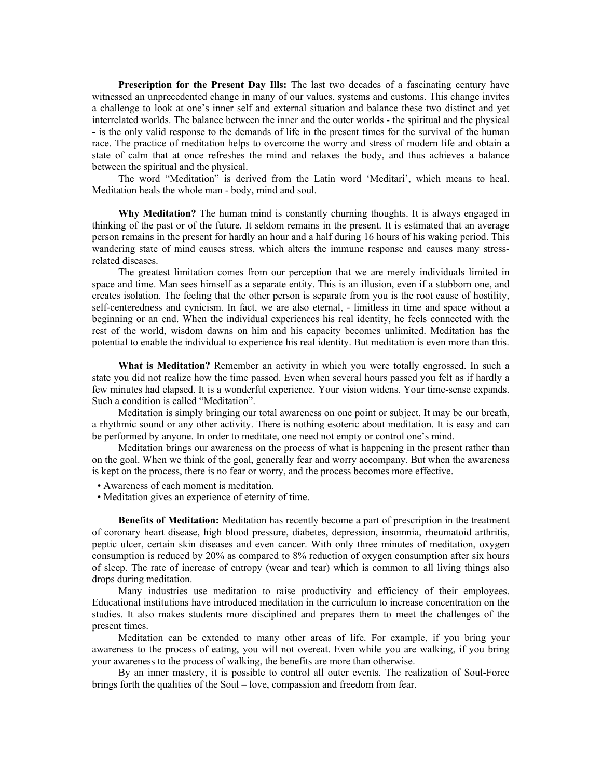**Prescription for the Present Day Ills:** The last two decades of a fascinating century have witnessed an unprecedented change in many of our values, systems and customs. This change invites a challenge to look at one's inner self and external situation and balance these two distinct and yet interrelated worlds. The balance between the inner and the outer worlds - the spiritual and the physical - is the only valid response to the demands of life in the present times for the survival of the human race. The practice of meditation helps to overcome the worry and stress of modern life and obtain a state of calm that at once refreshes the mind and relaxes the body, and thus achieves a balance between the spiritual and the physical.

The word "Meditation" is derived from the Latin word 'Meditari', which means to heal. Meditation heals the whole man - body, mind and soul.

**Why Meditation?** The human mind is constantly churning thoughts. It is always engaged in thinking of the past or of the future. It seldom remains in the present. It is estimated that an average person remains in the present for hardly an hour and a half during 16 hours of his waking period. This wandering state of mind causes stress, which alters the immune response and causes many stressrelated diseases.

The greatest limitation comes from our perception that we are merely individuals limited in space and time. Man sees himself as a separate entity. This is an illusion, even if a stubborn one, and creates isolation. The feeling that the other person is separate from you is the root cause of hostility, self-centeredness and cynicism. In fact, we are also eternal, - limitless in time and space without a beginning or an end. When the individual experiences his real identity, he feels connected with the rest of the world, wisdom dawns on him and his capacity becomes unlimited. Meditation has the potential to enable the individual to experience his real identity. But meditation is even more than this.

**What is Meditation?** Remember an activity in which you were totally engrossed. In such a state you did not realize how the time passed. Even when several hours passed you felt as if hardly a few minutes had elapsed. It is a wonderful experience. Your vision widens. Your time-sense expands. Such a condition is called "Meditation".

Meditation is simply bringing our total awareness on one point or subject. It may be our breath, a rhythmic sound or any other activity. There is nothing esoteric about meditation. It is easy and can be performed by anyone. In order to meditate, one need not empty or control one's mind.

Meditation brings our awareness on the process of what is happening in the present rather than on the goal. When we think of the goal, generally fear and worry accompany. But when the awareness is kept on the process, there is no fear or worry, and the process becomes more effective.

- Awareness of each moment is meditation.
- Meditation gives an experience of eternity of time.

**Benefits of Meditation:** Meditation has recently become a part of prescription in the treatment of coronary heart disease, high blood pressure, diabetes, depression, insomnia, rheumatoid arthritis, peptic ulcer, certain skin diseases and even cancer. With only three minutes of meditation, oxygen consumption is reduced by 20% as compared to 8% reduction of oxygen consumption after six hours of sleep. The rate of increase of entropy (wear and tear) which is common to all living things also drops during meditation.

Many industries use meditation to raise productivity and efficiency of their employees. Educational institutions have introduced meditation in the curriculum to increase concentration on the studies. It also makes students more disciplined and prepares them to meet the challenges of the present times.

Meditation can be extended to many other areas of life. For example, if you bring your awareness to the process of eating, you will not overeat. Even while you are walking, if you bring your awareness to the process of walking, the benefits are more than otherwise.

By an inner mastery, it is possible to control all outer events. The realization of Soul-Force brings forth the qualities of the Soul – love, compassion and freedom from fear.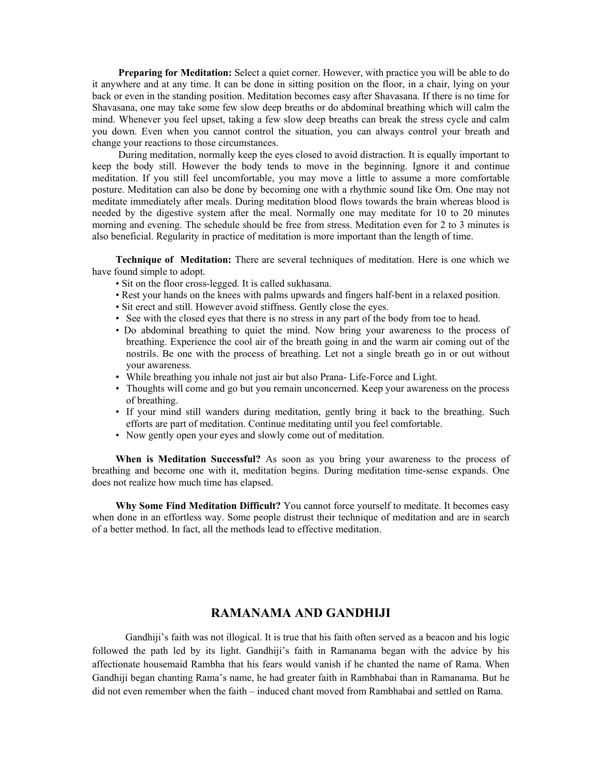**Preparing for Meditation:** Select a quiet corner. However, with practice you will be able to do it anywhere and at any time. It can be done in sitting position on the floor, in a chair, lying on your back or even in the standing position. Meditation becomes easy after Shavasana. If there is no time for Shavasana, one may take some few slow deep breaths or do abdominal breathing which will calm the mind. Whenever you feel upset, taking a few slow deep breaths can break the stress cycle and calm you down. Even when you cannot control the situation, you can always control your breath and change your reactions to those circumstances.

During meditation, normally keep the eyes closed to avoid distraction. It is equally important to keep the body still. However the body tends to move in the beginning. Ignore it and continue meditation. If you still feel uncomfortable, you may move a little to assume a more comfortable posture. Meditation can also be done by becoming one with a rhythmic sound like Om. One may not meditate immediately after meals. During meditation blood flows towards the brain whereas blood is needed by the digestive system after the meal. Normally one may meditate for 10 to 20 minutes morning and evening. The schedule should be free from stress. Meditation even for 2 to 3 minutes is also beneficial. Regularity in practice of meditation is more important than the length of time.

**Technique of Meditation:** There are several techniques of meditation. Here is one which we have found simple to adopt.

- Sit on the floor cross-legged. It is called sukhasana.
- Rest your hands on the knees with palms upwards and fingers half-bent in a relaxed position.
- Sit erect and still. However avoid stiffness. Gently close the eyes.
- See with the closed eyes that there is no stress in any part of the body from toe to head.
- Do abdominal breathing to quiet the mind. Now bring your awareness to the process of breathing. Experience the cool air of the breath going in and the warm air coming out of the nostrils. Be one with the process of breathing. Let not a single breath go in or out without your awareness.
- While breathing you inhale not just air but also Prana- Life-Force and Light.
- Thoughts will come and go but you remain unconcerned. Keep your awareness on the process of breathing.
- If your mind still wanders during meditation, gently bring it back to the breathing. Such efforts are part of meditation. Continue meditating until you feel comfortable.
- Now gently open your eyes and slowly come out of meditation.

**When is Meditation Successful?** As soon as you bring your awareness to the process of breathing and become one with it, meditation begins. During meditation time-sense expands. One does not realize how much time has elapsed.

**Why Some Find Meditation Difficult?** You cannot force yourself to meditate. It becomes easy when done in an effortless way. Some people distrust their technique of meditation and are in search of a better method. In fact, all the methods lead to effective meditation.

## **RAMANAMA AND GANDHIJI**

Gandhiji's faith was not illogical. It is true that his faith often served as a beacon and his logic followed the path led by its light. Gandhiji's faith in Ramanama began with the advice by his affectionate housemaid Rambha that his fears would vanish if he chanted the name of Rama. When Gandhiji began chanting Rama's name, he had greater faith in Rambhabai than in Ramanama. But he did not even remember when the faith – induced chant moved from Rambhabai and settled on Rama.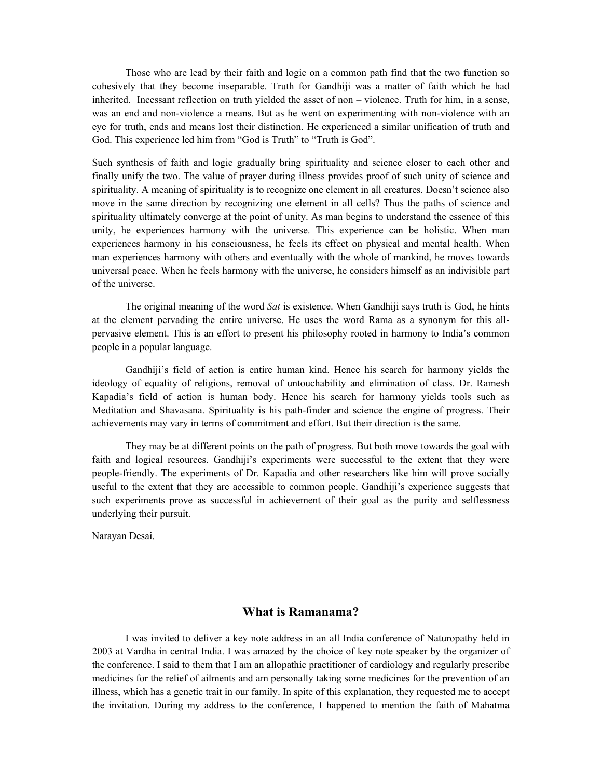Those who are lead by their faith and logic on a common path find that the two function so cohesively that they become inseparable. Truth for Gandhiji was a matter of faith which he had inherited. Incessant reflection on truth yielded the asset of non – violence. Truth for him, in a sense, was an end and non-violence a means. But as he went on experimenting with non-violence with an eye for truth, ends and means lost their distinction. He experienced a similar unification of truth and God. This experience led him from "God is Truth" to "Truth is God".

Such synthesis of faith and logic gradually bring spirituality and science closer to each other and finally unify the two. The value of prayer during illness provides proof of such unity of science and spirituality. A meaning of spirituality is to recognize one element in all creatures. Doesn't science also move in the same direction by recognizing one element in all cells? Thus the paths of science and spirituality ultimately converge at the point of unity. As man begins to understand the essence of this unity, he experiences harmony with the universe. This experience can be holistic. When man experiences harmony in his consciousness, he feels its effect on physical and mental health. When man experiences harmony with others and eventually with the whole of mankind, he moves towards universal peace. When he feels harmony with the universe, he considers himself as an indivisible part of the universe.

The original meaning of the word *Sat* is existence. When Gandhiji says truth is God, he hints at the element pervading the entire universe. He uses the word Rama as a synonym for this allpervasive element. This is an effort to present his philosophy rooted in harmony to India's common people in a popular language.

Gandhiji's field of action is entire human kind. Hence his search for harmony yields the ideology of equality of religions, removal of untouchability and elimination of class. Dr. Ramesh Kapadia's field of action is human body. Hence his search for harmony yields tools such as Meditation and Shavasana. Spirituality is his path-finder and science the engine of progress. Their achievements may vary in terms of commitment and effort. But their direction is the same.

They may be at different points on the path of progress. But both move towards the goal with faith and logical resources. Gandhiji's experiments were successful to the extent that they were people-friendly. The experiments of Dr. Kapadia and other researchers like him will prove socially useful to the extent that they are accessible to common people. Gandhiji's experience suggests that such experiments prove as successful in achievement of their goal as the purity and selflessness underlying their pursuit.

Narayan Desai.

### **What is Ramanama?**

I was invited to deliver a key note address in an all India conference of Naturopathy held in 2003 at Vardha in central India. I was amazed by the choice of key note speaker by the organizer of the conference. I said to them that I am an allopathic practitioner of cardiology and regularly prescribe medicines for the relief of ailments and am personally taking some medicines for the prevention of an illness, which has a genetic trait in our family. In spite of this explanation, they requested me to accept the invitation. During my address to the conference, I happened to mention the faith of Mahatma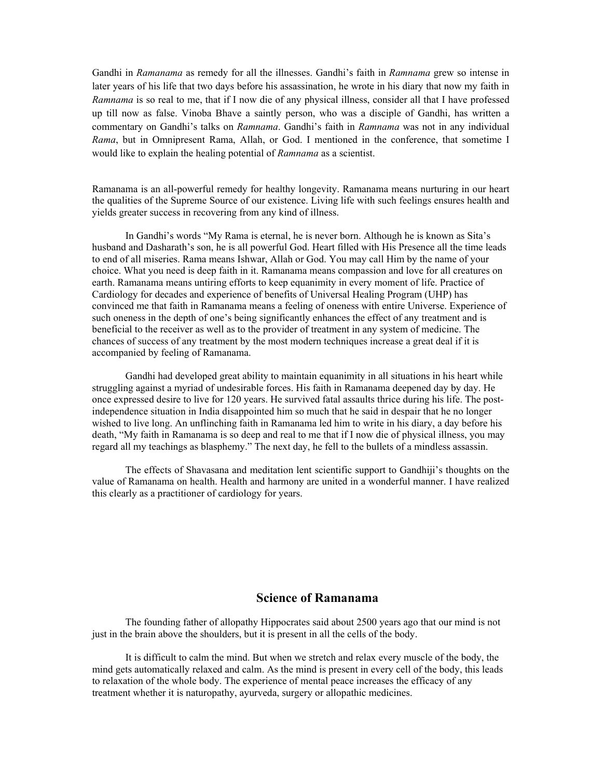Gandhi in *Ramanama* as remedy for all the illnesses. Gandhi's faith in *Ramnama* grew so intense in later years of his life that two days before his assassination, he wrote in his diary that now my faith in *Ramnama* is so real to me, that if I now die of any physical illness, consider all that I have professed up till now as false. Vinoba Bhave a saintly person, who was a disciple of Gandhi, has written a commentary on Gandhi's talks on *Ramnama*. Gandhi's faith in *Ramnama* was not in any individual *Rama*, but in Omnipresent Rama, Allah, or God. I mentioned in the conference, that sometime I would like to explain the healing potential of *Ramnama* as a scientist.

Ramanama is an all-powerful remedy for healthy longevity. Ramanama means nurturing in our heart the qualities of the Supreme Source of our existence. Living life with such feelings ensures health and yields greater success in recovering from any kind of illness.

In Gandhi's words "My Rama is eternal, he is never born. Although he is known as Sita's husband and Dasharath's son, he is all powerful God. Heart filled with His Presence all the time leads to end of all miseries. Rama means Ishwar, Allah or God. You may call Him by the name of your choice. What you need is deep faith in it. Ramanama means compassion and love for all creatures on earth. Ramanama means untiring efforts to keep equanimity in every moment of life. Practice of Cardiology for decades and experience of benefits of Universal Healing Program (UHP) has convinced me that faith in Ramanama means a feeling of oneness with entire Universe. Experience of such oneness in the depth of one's being significantly enhances the effect of any treatment and is beneficial to the receiver as well as to the provider of treatment in any system of medicine. The chances of success of any treatment by the most modern techniques increase a great deal if it is accompanied by feeling of Ramanama.

 Gandhi had developed great ability to maintain equanimity in all situations in his heart while struggling against a myriad of undesirable forces. His faith in Ramanama deepened day by day. He once expressed desire to live for 120 years. He survived fatal assaults thrice during his life. The postindependence situation in India disappointed him so much that he said in despair that he no longer wished to live long. An unflinching faith in Ramanama led him to write in his diary, a day before his death, "My faith in Ramanama is so deep and real to me that if I now die of physical illness, you may regard all my teachings as blasphemy." The next day, he fell to the bullets of a mindless assassin.

The effects of Shavasana and meditation lent scientific support to Gandhiji's thoughts on the value of Ramanama on health. Health and harmony are united in a wonderful manner. I have realized this clearly as a practitioner of cardiology for years.

### **Science of Ramanama**

The founding father of allopathy Hippocrates said about 2500 years ago that our mind is not just in the brain above the shoulders, but it is present in all the cells of the body.

It is difficult to calm the mind. But when we stretch and relax every muscle of the body, the mind gets automatically relaxed and calm. As the mind is present in every cell of the body, this leads to relaxation of the whole body. The experience of mental peace increases the efficacy of any treatment whether it is naturopathy, ayurveda, surgery or allopathic medicines.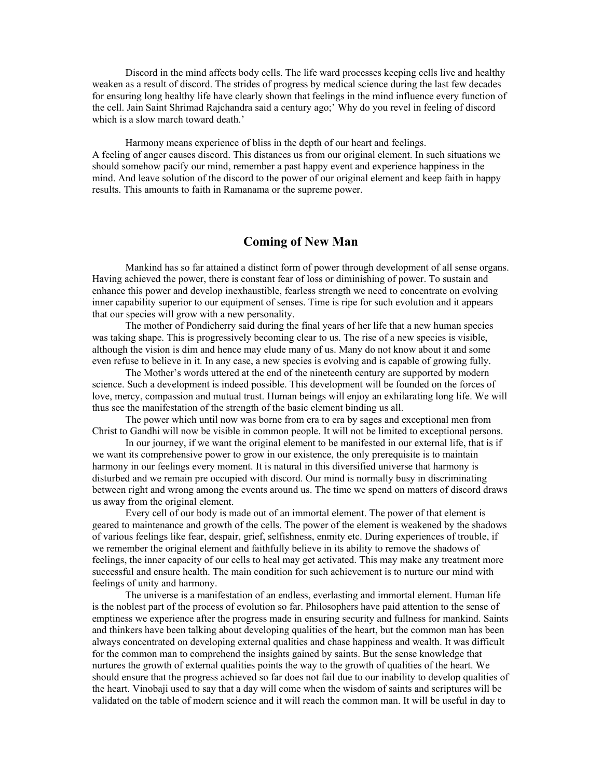Discord in the mind affects body cells. The life ward processes keeping cells live and healthy weaken as a result of discord. The strides of progress by medical science during the last few decades for ensuring long healthy life have clearly shown that feelings in the mind influence every function of the cell. Jain Saint Shrimad Rajchandra said a century ago;' Why do you revel in feeling of discord which is a slow march toward death.'

Harmony means experience of bliss in the depth of our heart and feelings. A feeling of anger causes discord. This distances us from our original element. In such situations we should somehow pacify our mind, remember a past happy event and experience happiness in the mind. And leave solution of the discord to the power of our original element and keep faith in happy results. This amounts to faith in Ramanama or the supreme power.

### **Coming of New Man**

Mankind has so far attained a distinct form of power through development of all sense organs. Having achieved the power, there is constant fear of loss or diminishing of power. To sustain and enhance this power and develop inexhaustible, fearless strength we need to concentrate on evolving inner capability superior to our equipment of senses. Time is ripe for such evolution and it appears that our species will grow with a new personality.

The mother of Pondicherry said during the final years of her life that a new human species was taking shape. This is progressively becoming clear to us. The rise of a new species is visible, although the vision is dim and hence may elude many of us. Many do not know about it and some even refuse to believe in it. In any case, a new species is evolving and is capable of growing fully.

The Mother's words uttered at the end of the nineteenth century are supported by modern science. Such a development is indeed possible. This development will be founded on the forces of love, mercy, compassion and mutual trust. Human beings will enjoy an exhilarating long life. We will thus see the manifestation of the strength of the basic element binding us all.

The power which until now was borne from era to era by sages and exceptional men from Christ to Gandhi will now be visible in common people. It will not be limited to exceptional persons.

In our journey, if we want the original element to be manifested in our external life, that is if we want its comprehensive power to grow in our existence, the only prerequisite is to maintain harmony in our feelings every moment. It is natural in this diversified universe that harmony is disturbed and we remain pre occupied with discord. Our mind is normally busy in discriminating between right and wrong among the events around us. The time we spend on matters of discord draws us away from the original element.

Every cell of our body is made out of an immortal element. The power of that element is geared to maintenance and growth of the cells. The power of the element is weakened by the shadows of various feelings like fear, despair, grief, selfishness, enmity etc. During experiences of trouble, if we remember the original element and faithfully believe in its ability to remove the shadows of feelings, the inner capacity of our cells to heal may get activated. This may make any treatment more successful and ensure health. The main condition for such achievement is to nurture our mind with feelings of unity and harmony.

The universe is a manifestation of an endless, everlasting and immortal element. Human life is the noblest part of the process of evolution so far. Philosophers have paid attention to the sense of emptiness we experience after the progress made in ensuring security and fullness for mankind. Saints and thinkers have been talking about developing qualities of the heart, but the common man has been always concentrated on developing external qualities and chase happiness and wealth. It was difficult for the common man to comprehend the insights gained by saints. But the sense knowledge that nurtures the growth of external qualities points the way to the growth of qualities of the heart. We should ensure that the progress achieved so far does not fail due to our inability to develop qualities of the heart. Vinobaji used to say that a day will come when the wisdom of saints and scriptures will be validated on the table of modern science and it will reach the common man. It will be useful in day to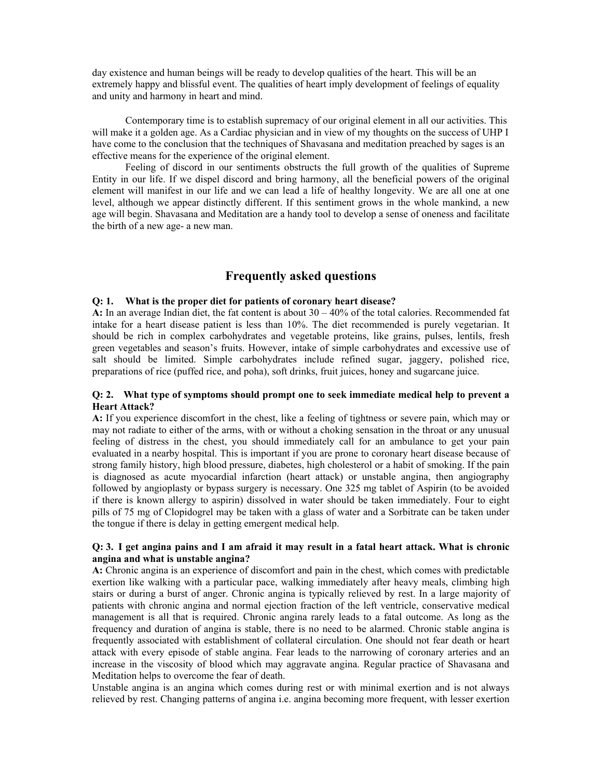day existence and human beings will be ready to develop qualities of the heart. This will be an extremely happy and blissful event. The qualities of heart imply development of feelings of equality and unity and harmony in heart and mind.

Contemporary time is to establish supremacy of our original element in all our activities. This will make it a golden age. As a Cardiac physician and in view of my thoughts on the success of UHP I have come to the conclusion that the techniques of Shavasana and meditation preached by sages is an effective means for the experience of the original element.

Feeling of discord in our sentiments obstructs the full growth of the qualities of Supreme Entity in our life. If we dispel discord and bring harmony, all the beneficial powers of the original element will manifest in our life and we can lead a life of healthy longevity. We are all one at one level, although we appear distinctly different. If this sentiment grows in the whole mankind, a new age will begin. Shavasana and Meditation are a handy tool to develop a sense of oneness and facilitate the birth of a new age- a new man.

## **Frequently asked questions**

#### **Q: 1. What is the proper diet for patients of coronary heart disease?**

**A:** In an average Indian diet, the fat content is about 30 – 40% of the total calories. Recommended fat intake for a heart disease patient is less than 10%. The diet recommended is purely vegetarian. It should be rich in complex carbohydrates and vegetable proteins, like grains, pulses, lentils, fresh green vegetables and season's fruits. However, intake of simple carbohydrates and excessive use of salt should be limited. Simple carbohydrates include refined sugar, jaggery, polished rice, preparations of rice (puffed rice, and poha), soft drinks, fruit juices, honey and sugarcane juice.

#### **Q: 2. What type of symptoms should prompt one to seek immediate medical help to prevent a Heart Attack?**

**A:** If you experience discomfort in the chest, like a feeling of tightness or severe pain, which may or may not radiate to either of the arms, with or without a choking sensation in the throat or any unusual feeling of distress in the chest, you should immediately call for an ambulance to get your pain evaluated in a nearby hospital. This is important if you are prone to coronary heart disease because of strong family history, high blood pressure, diabetes, high cholesterol or a habit of smoking. If the pain is diagnosed as acute myocardial infarction (heart attack) or unstable angina, then angiography followed by angioplasty or bypass surgery is necessary. One 325 mg tablet of Aspirin (to be avoided if there is known allergy to aspirin) dissolved in water should be taken immediately. Four to eight pills of 75 mg of Clopidogrel may be taken with a glass of water and a Sorbitrate can be taken under the tongue if there is delay in getting emergent medical help.

#### **Q: 3. I get angina pains and I am afraid it may result in a fatal heart attack. What is chronic angina and what is unstable angina?**

**A:** Chronic angina is an experience of discomfort and pain in the chest, which comes with predictable exertion like walking with a particular pace, walking immediately after heavy meals, climbing high stairs or during a burst of anger. Chronic angina is typically relieved by rest. In a large majority of patients with chronic angina and normal ejection fraction of the left ventricle, conservative medical management is all that is required. Chronic angina rarely leads to a fatal outcome. As long as the frequency and duration of angina is stable, there is no need to be alarmed. Chronic stable angina is frequently associated with establishment of collateral circulation. One should not fear death or heart attack with every episode of stable angina. Fear leads to the narrowing of coronary arteries and an increase in the viscosity of blood which may aggravate angina. Regular practice of Shavasana and Meditation helps to overcome the fear of death.

Unstable angina is an angina which comes during rest or with minimal exertion and is not always relieved by rest. Changing patterns of angina i.e. angina becoming more frequent, with lesser exertion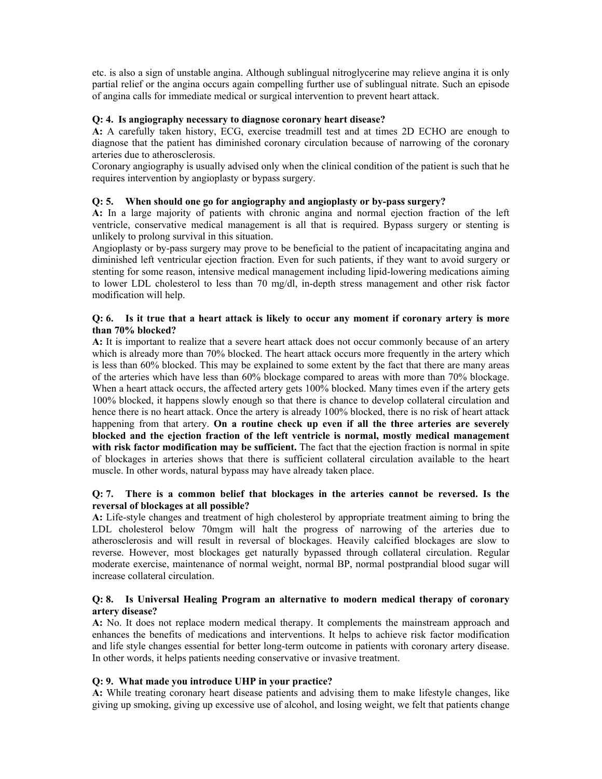etc. is also a sign of unstable angina. Although sublingual nitroglycerine may relieve angina it is only partial relief or the angina occurs again compelling further use of sublingual nitrate. Such an episode of angina calls for immediate medical or surgical intervention to prevent heart attack.

#### **Q: 4. Is angiography necessary to diagnose coronary heart disease?**

**A:** A carefully taken history, ECG, exercise treadmill test and at times 2D ECHO are enough to diagnose that the patient has diminished coronary circulation because of narrowing of the coronary arteries due to atherosclerosis.

Coronary angiography is usually advised only when the clinical condition of the patient is such that he requires intervention by angioplasty or bypass surgery.

#### **Q: 5. When should one go for angiography and angioplasty or by-pass surgery?**

**A:** In a large majority of patients with chronic angina and normal ejection fraction of the left ventricle, conservative medical management is all that is required. Bypass surgery or stenting is unlikely to prolong survival in this situation.

Angioplasty or by-pass surgery may prove to be beneficial to the patient of incapacitating angina and diminished left ventricular ejection fraction. Even for such patients, if they want to avoid surgery or stenting for some reason, intensive medical management including lipid-lowering medications aiming to lower LDL cholesterol to less than 70 mg/dl, in-depth stress management and other risk factor modification will help.

#### **Q: 6. Is it true that a heart attack is likely to occur any moment if coronary artery is more than 70% blocked?**

**A:** It is important to realize that a severe heart attack does not occur commonly because of an artery which is already more than 70% blocked. The heart attack occurs more frequently in the artery which is less than 60% blocked. This may be explained to some extent by the fact that there are many areas of the arteries which have less than 60% blockage compared to areas with more than 70% blockage. When a heart attack occurs, the affected artery gets 100% blocked. Many times even if the artery gets 100% blocked, it happens slowly enough so that there is chance to develop collateral circulation and hence there is no heart attack. Once the artery is already 100% blocked, there is no risk of heart attack happening from that artery. **On a routine check up even if all the three arteries are severely blocked and the ejection fraction of the left ventricle is normal, mostly medical management with risk factor modification may be sufficient.** The fact that the ejection fraction is normal in spite of blockages in arteries shows that there is sufficient collateral circulation available to the heart muscle. In other words, natural bypass may have already taken place.

#### **Q: 7. There is a common belief that blockages in the arteries cannot be reversed. Is the reversal of blockages at all possible?**

**A:** Life-style changes and treatment of high cholesterol by appropriate treatment aiming to bring the LDL cholesterol below 70mgm will halt the progress of narrowing of the arteries due to atherosclerosis and will result in reversal of blockages. Heavily calcified blockages are slow to reverse. However, most blockages get naturally bypassed through collateral circulation. Regular moderate exercise, maintenance of normal weight, normal BP, normal postprandial blood sugar will increase collateral circulation.

#### **Q: 8. Is Universal Healing Program an alternative to modern medical therapy of coronary artery disease?**

**A:** No. It does not replace modern medical therapy. It complements the mainstream approach and enhances the benefits of medications and interventions. It helps to achieve risk factor modification and life style changes essential for better long-term outcome in patients with coronary artery disease. In other words, it helps patients needing conservative or invasive treatment.

### **Q: 9. What made you introduce UHP in your practice?**

**A:** While treating coronary heart disease patients and advising them to make lifestyle changes, like giving up smoking, giving up excessive use of alcohol, and losing weight, we felt that patients change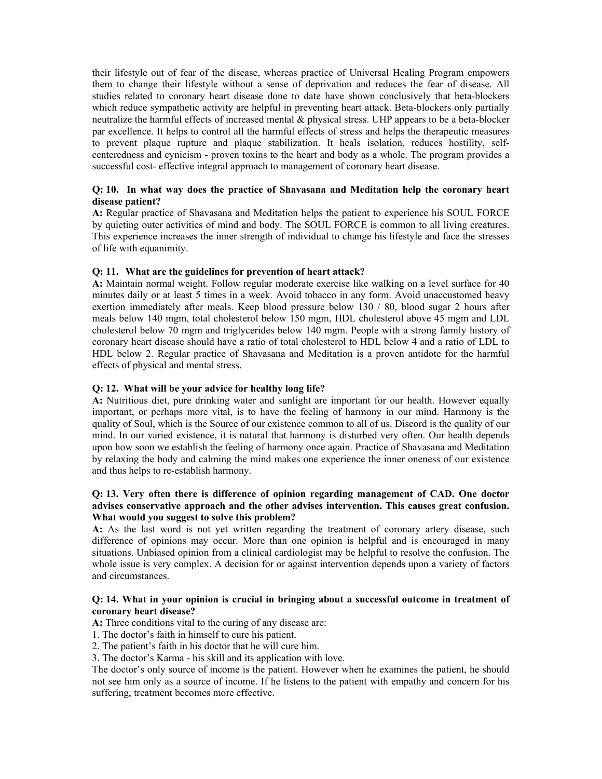their lifestyle out of fear of the disease, whereas practice of Universal Healing Program empowers them to change their lifestyle without a sense of deprivation and reduces the fear of disease. All studies related to coronary heart disease done to date have shown conclusively that beta-blockers which reduce sympathetic activity are helpful in preventing heart attack. Beta-blockers only partially neutralize the harmful effects of increased mental & physical stress. UHP appears to be a beta-blocker par excellence. It helps to control all the harmful effects of stress and helps the therapeutic measures to prevent plaque rupture and plaque stabilization. It heals isolation, reduces hostility, selfcenteredness and cynicism - proven toxins to the heart and body as a whole. The program provides a successful cost- effective integral approach to management of coronary heart disease.

#### **Q: 10. In what way does the practice of Shavasana and Meditation help the coronary heart disease patient?**

**A:** Regular practice of Shavasana and Meditation helps the patient to experience his SOUL FORCE by quieting outer activities of mind and body. The SOUL FORCE is common to all living creatures. This experience increases the inner strength of individual to change his lifestyle and face the stresses of life with equanimity.

#### **Q: 11. What are the guidelines for prevention of heart attack?**

**A:** Maintain normal weight. Follow regular moderate exercise like walking on a level surface for 40 minutes daily or at least 5 times in a week. Avoid tobacco in any form. Avoid unaccustomed heavy exertion immediately after meals. Keep blood pressure below 130 / 80, blood sugar 2 hours after meals below 140 mgm, total cholesterol below 150 mgm, HDL cholesterol above 45 mgm and LDL cholesterol below 70 mgm and triglycerides below 140 mgm. People with a strong family history of coronary heart disease should have a ratio of total cholesterol to HDL below 4 and a ratio of LDL to HDL below 2. Regular practice of Shavasana and Meditation is a proven antidote for the harmful effects of physical and mental stress.

#### **Q: 12. What will be your advice for healthy long life?**

**A:** Nutritious diet, pure drinking water and sunlight are important for our health. However equally important, or perhaps more vital, is to have the feeling of harmony in our mind. Harmony is the quality of Soul, which is the Source of our existence common to all of us. Discord is the quality of our mind. In our varied existence, it is natural that harmony is disturbed very often. Our health depends upon how soon we establish the feeling of harmony once again. Practice of Shavasana and Meditation by relaxing the body and calming the mind makes one experience the inner oneness of our existence and thus helps to re-establish harmony.

#### **Q: 13. Very often there is difference of opinion regarding management of CAD. One doctor advises conservative approach and the other advises intervention. This causes great confusion. What would you suggest to solve this problem?**

**A:** As the last word is not yet written regarding the treatment of coronary artery disease, such difference of opinions may occur. More than one opinion is helpful and is encouraged in many situations. Unbiased opinion from a clinical cardiologist may be helpful to resolve the confusion. The whole issue is very complex. A decision for or against intervention depends upon a variety of factors and circumstances.

#### **Q: 14. What in your opinion is crucial in bringing about a successful outcome in treatment of coronary heart disease?**

**A:** Three conditions vital to the curing of any disease are:

- 1. The doctor's faith in himself to cure his patient.
- 2. The patient's faith in his doctor that he will cure him.
- 3. The doctor's Karma his skill and its application with love.

The doctor's only source of income is the patient. However when he examines the patient, he should not see him only as a source of income. If he listens to the patient with empathy and concern for his suffering, treatment becomes more effective.